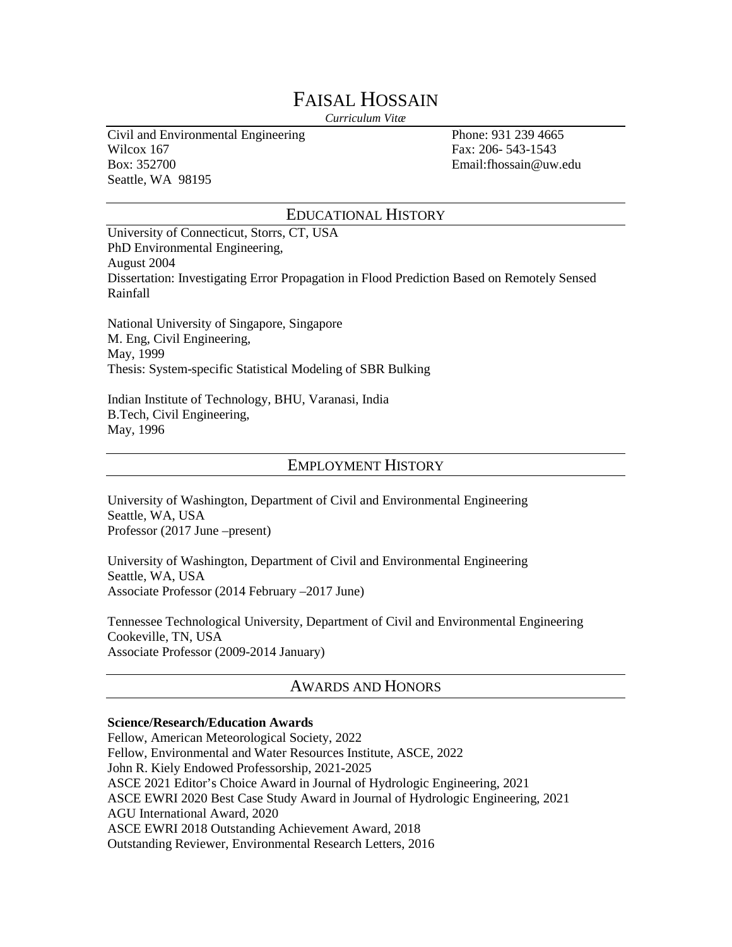# FAISAL HOSSAIN

*Curriculum Vitæ*

Civil and Environmental Engineering Phone: 931 239 4665 Wilcox 167 Fax: 206- 543-1543 Box: 352700 Email:fhossain@uw.edu Seattle, WA 98195

### EDUCATIONAL HISTORY

University of Connecticut, Storrs, CT, USA PhD Environmental Engineering, August 2004 Dissertation: Investigating Error Propagation in Flood Prediction Based on Remotely Sensed Rainfall

National University of Singapore, Singapore M. Eng, Civil Engineering, May, 1999 Thesis: System-specific Statistical Modeling of SBR Bulking

Indian Institute of Technology, BHU, Varanasi, India B.Tech, Civil Engineering, May, 1996

# EMPLOYMENT HISTORY

University of Washington, Department of Civil and Environmental Engineering Seattle, WA, USA Professor (2017 June –present)

University of Washington, Department of Civil and Environmental Engineering Seattle, WA, USA Associate Professor (2014 February –2017 June)

Tennessee Technological University, Department of Civil and Environmental Engineering Cookeville, TN, USA Associate Professor (2009-2014 January)

# AWARDS AND HONORS

### **Science/Research/Education Awards**

Fellow, American Meteorological Society, 2022 Fellow, Environmental and Water Resources Institute, ASCE, 2022 John R. Kiely Endowed Professorship, 2021-2025 ASCE 2021 Editor's Choice Award in Journal of Hydrologic Engineering, 2021 ASCE EWRI 2020 Best Case Study Award in Journal of Hydrologic Engineering, 2021 AGU International Award, 2020 ASCE EWRI 2018 Outstanding Achievement Award, 2018 Outstanding Reviewer, Environmental Research Letters, 2016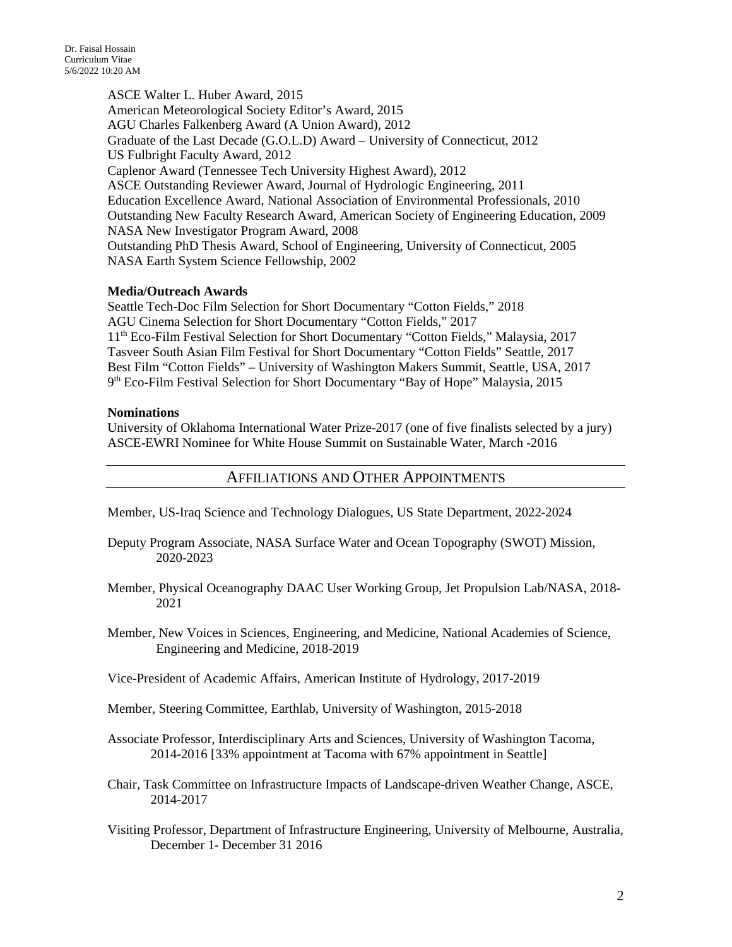ASCE Walter L. Huber Award, 2015 American Meteorological Society Editor's Award, 2015 AGU Charles Falkenberg Award (A Union Award), 2012 Graduate of the Last Decade (G.O.L.D) Award – University of Connecticut, 2012 US Fulbright Faculty Award, 2012 Caplenor Award (Tennessee Tech University Highest Award), 2012 ASCE Outstanding Reviewer Award, Journal of Hydrologic Engineering, 2011 Education Excellence Award, National Association of Environmental Professionals, 2010 Outstanding New Faculty Research Award, American Society of Engineering Education, 2009 NASA New Investigator Program Award, 2008 Outstanding PhD Thesis Award, School of Engineering, University of Connecticut, 2005 NASA Earth System Science Fellowship, 2002

### **Media/Outreach Awards**

Seattle Tech-Doc Film Selection for Short Documentary "Cotton Fields," 2018 AGU Cinema Selection for Short Documentary "Cotton Fields," 2017 11th Eco-Film Festival Selection for Short Documentary "Cotton Fields," Malaysia, 2017 Tasveer South Asian Film Festival for Short Documentary "Cotton Fields" Seattle, 2017 Best Film "Cotton Fields" – University of Washington Makers Summit, Seattle, USA, 2017 9th Eco-Film Festival Selection for Short Documentary "Bay of Hope" Malaysia, 2015

### **Nominations**

University of Oklahoma International Water Prize-2017 (one of five finalists selected by a jury) ASCE-EWRI Nominee for White House Summit on Sustainable Water, March -2016

## AFFILIATIONS AND OTHER APPOINTMENTS

Member, US-Iraq Science and Technology Dialogues, US State Department, 2022-2024

- Deputy Program Associate, NASA Surface Water and Ocean Topography (SWOT) Mission, 2020-2023
- Member, Physical Oceanography DAAC User Working Group, Jet Propulsion Lab/NASA, 2018- 2021
- Member, New Voices in Sciences, Engineering, and Medicine, National Academies of Science, Engineering and Medicine, 2018-2019

Vice-President of Academic Affairs, American Institute of Hydrology, 2017-2019

Member, Steering Committee, Earthlab, University of Washington, 2015-2018

Associate Professor, Interdisciplinary Arts and Sciences, University of Washington Tacoma, 2014-2016 [33% appointment at Tacoma with 67% appointment in Seattle]

Chair, Task Committee on Infrastructure Impacts of Landscape-driven Weather Change, ASCE, 2014-2017

Visiting Professor, Department of Infrastructure Engineering, University of Melbourne, Australia, December 1- December 31 2016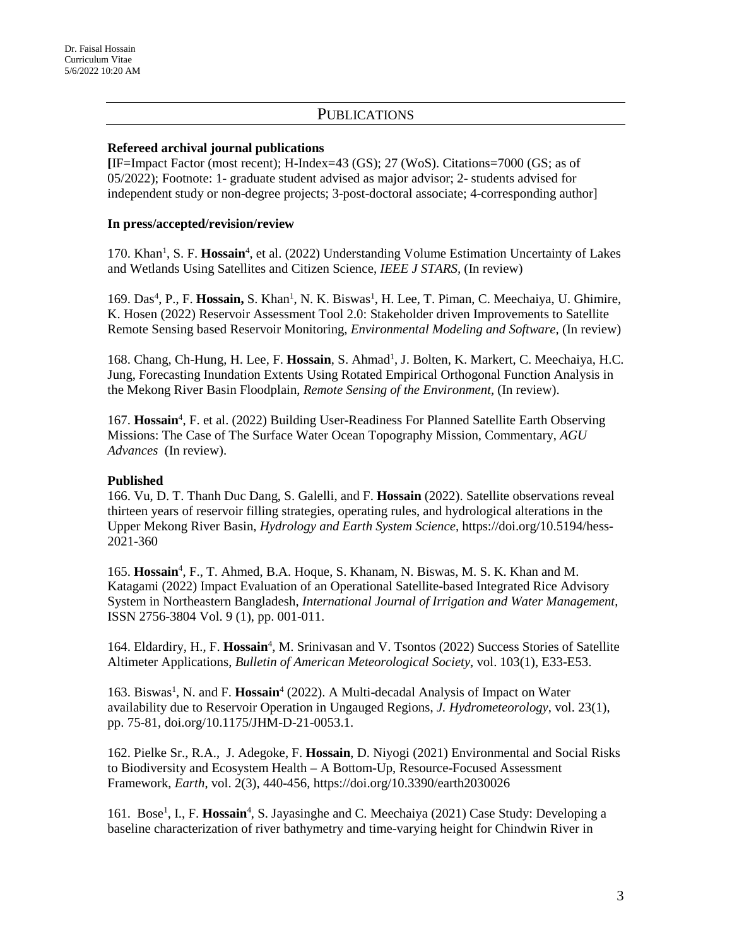# **PUBLICATIONS**

### **Refereed archival journal publications**

**[**IF=Impact Factor (most recent); H-Index=43 (GS); 27 (WoS). Citations=7000 (GS; as of 05/2022); Footnote: 1- graduate student advised as major advisor; 2- students advised for independent study or non-degree projects; 3-post-doctoral associate; 4-corresponding author]

### **In press/accepted/revision/review**

170. Khan<sup>1</sup>, S. F. Hossain<sup>4</sup>, et al. (2022) Understanding Volume Estimation Uncertainty of Lakes and Wetlands Using Satellites and Citizen Science, *IEEE J STARS,* (In review)

169. Das<sup>4</sup>, P., F. Hossain, S. Khan<sup>1</sup>, N. K. Biswas<sup>1</sup>, H. Lee, T. Piman, C. Meechaiya, U. Ghimire, K. Hosen (2022) Reservoir Assessment Tool 2.0: Stakeholder driven Improvements to Satellite Remote Sensing based Reservoir Monitoring, *Environmental Modeling and Software,* (In review)

168. Chang, Ch-Hung, H. Lee, F. Hossain, S. Ahmad<sup>1</sup>, J. Bolten, K. Markert, C. Meechaiya, H.C. Jung, Forecasting Inundation Extents Using Rotated Empirical Orthogonal Function Analysis in the Mekong River Basin Floodplain, *Remote Sensing of the Environment*, (In review).

167. Hossain<sup>4</sup>, F. et al. (2022) Building User-Readiness For Planned Satellite Earth Observing Missions: The Case of The Surface Water Ocean Topography Mission, Commentary, *AGU Advances* (In review).

### **Published**

166. Vu, D. T. Thanh Duc Dang, S. Galelli, and F. **Hossain** (2022). Satellite observations reveal thirteen years of reservoir filling strategies, operating rules, and hydrological alterations in the Upper Mekong River Basin, *Hydrology and Earth System Science*, https://doi.org/10.5194/hess-2021-360

165. **Hossain**<sup>4</sup> , F., T. Ahmed, B.A. Hoque, S. Khanam, N. Biswas, M. S. K. Khan and M. Katagami (2022) Impact Evaluation of an Operational Satellite-based Integrated Rice Advisory System in Northeastern Bangladesh, *International Journal of Irrigation and Water Management*, ISSN 2756-3804 Vol. 9 (1), pp. 001-011.

164. Eldardiry, H., F. Hossain<sup>4</sup>, M. Srinivasan and V. Tsontos (2022) Success Stories of Satellite Altimeter Applications, *Bulletin of American Meteorological Society*, vol. 103(1), E33-E53.

163. Biswas<sup>1</sup>, N. and F. **Hossain**<sup>4</sup> (2022). A Multi-decadal Analysis of Impact on Water availability due to Reservoir Operation in Ungauged Regions, *J. Hydrometeorology*, vol. 23(1), pp. 75-81, doi.org/10.1175/JHM-D-21-0053.1.

162. Pielke Sr., R.A., J. Adegoke, F. **Hossain**, D. Niyogi (2021) Environmental and Social Risks to Biodiversity and Ecosystem Health – A Bottom-Up, Resource-Focused Assessment Framework, *Earth*, vol. 2(3), 440-456, https://doi.org/10.3390/earth2030026

161. Bose<sup>1</sup>, I., F. Hossain<sup>4</sup>, S. Jayasinghe and C. Meechaiya (2021) Case Study: Developing a baseline characterization of river bathymetry and time-varying height for Chindwin River in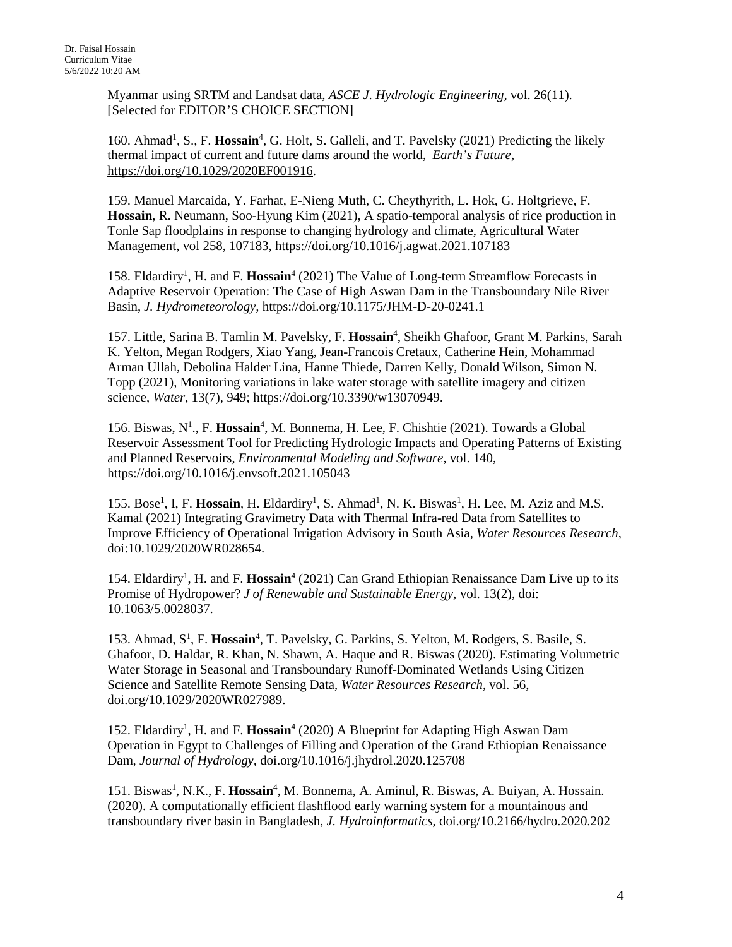Myanmar using SRTM and Landsat data, *ASCE J. Hydrologic Engineering,* vol. 26(11). [Selected for EDITOR'S CHOICE SECTION]

160. Ahmad<sup>1</sup>, S., F. Hossain<sup>4</sup>, G. Holt, S. Galleli, and T. Pavelsky (2021) Predicting the likely thermal impact of current and future dams around the world, *Earth's Future*, [https://doi.org/10.1029/2020EF001916.](https://doi.org/10.1029/2020EF001916)

159. Manuel Marcaida, Y. Farhat, E-Nieng Muth, C. Cheythyrith, L. Hok, G. Holtgrieve, F. **Hossain**, R. Neumann, Soo-Hyung Kim (2021), A spatio-temporal analysis of rice production in Tonle Sap floodplains in response to changing hydrology and climate, Agricultural Water Management, vol 258, 107183, https://doi.org/10.1016/j.agwat.2021.107183

158. Eldardiry<sup>1</sup>, H. and F. Hossain<sup>4</sup> (2021) The Value of Long-term Streamflow Forecasts in Adaptive Reservoir Operation: The Case of High Aswan Dam in the Transboundary Nile River Basin, *J. Hydrometeorology,* <https://doi.org/10.1175/JHM-D-20-0241.1>

157. Little, Sarina B. Tamlin M. Pavelsky, F. Hossain<sup>4</sup>, Sheikh Ghafoor, Grant M. Parkins, Sarah K. Yelton, Megan Rodgers, Xiao Yang, Jean-Francois Cretaux, Catherine Hein, Mohammad Arman Ullah, Debolina Halder Lina, Hanne Thiede, Darren Kelly, Donald Wilson, Simon N. Topp (2021), Monitoring variations in lake water storage with satellite imagery and citizen science, *Water*, 13(7), 949; https://doi.org/10.3390/w13070949.

156. Biswas, N<sup>1</sup>., F. **Hossain**<sup>4</sup>, M. Bonnema, H. Lee, F. Chishtie (2021). Towards a Global Reservoir Assessment Tool for Predicting Hydrologic Impacts and Operating Patterns of Existing and Planned Reservoirs, *Environmental Modeling and Software*, vol. 140, <https://doi.org/10.1016/j.envsoft.2021.105043>

155. Bose<sup>1</sup>, I, F. Hossain, H. Eldardiry<sup>1</sup>, S. Ahmad<sup>1</sup>, N. K. Biswas<sup>1</sup>, H. Lee, M. Aziz and M.S. Kamal (2021) Integrating Gravimetry Data with Thermal Infra-red Data from Satellites to Improve Efficiency of Operational Irrigation Advisory in South Asia, *Water Resources Research*, doi:10.1029/2020WR028654.

154. Eldardiry<sup>1</sup>, H. and F. Hossain<sup>4</sup> (2021) Can Grand Ethiopian Renaissance Dam Live up to its Promise of Hydropower? *J of Renewable and Sustainable Energy,* vol. 13(2), doi: 10.1063/5.0028037.

153. Ahmad, S<sup>1</sup>, F. Hossain<sup>4</sup>, T. Pavelsky, G. Parkins, S. Yelton, M. Rodgers, S. Basile, S. Ghafoor, D. Haldar, R. Khan, N. Shawn, A. Haque and R. Biswas (2020). Estimating Volumetric Water Storage in Seasonal and Transboundary Runoff-Dominated Wetlands Using Citizen Science and Satellite Remote Sensing Data, *Water Resources Research*, vol. 56, doi.org/10.1029/2020WR027989.

152. Eldardiry<sup>1</sup>, H. and F. Hossain<sup>4</sup> (2020) A Blueprint for Adapting High Aswan Dam Operation in Egypt to Challenges of Filling and Operation of the Grand Ethiopian Renaissance Dam, *Journal of Hydrology,* doi.org/10.1016/j.jhydrol.2020.125708

151. Biswas<sup>1</sup>, N.K., F. Hossain<sup>4</sup>, M. Bonnema, A. Aminul, R. Biswas, A. Buiyan, A. Hossain. (2020). A computationally efficient flashflood early warning system for a mountainous and transboundary river basin in Bangladesh, *J. Hydroinformatics*, doi.org/10.2166/hydro.2020.202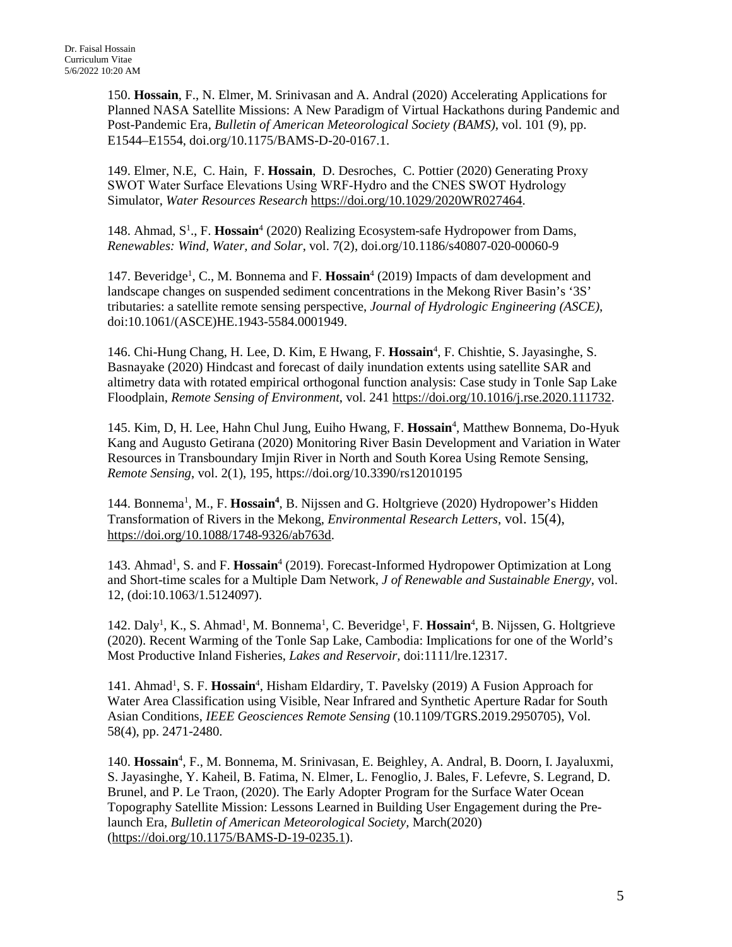150. **Hossain**, F., N. Elmer, M. Srinivasan and A. Andral (2020) Accelerating Applications for Planned NASA Satellite Missions: A New Paradigm of Virtual Hackathons during Pandemic and Post-Pandemic Era, *Bulletin of American Meteorological Society (BAMS)*, vol. 101 (9), pp. E1544–E1554, doi.org/10.1175/BAMS-D-20-0167.1.

149. Elmer, N.E, C. Hain, F. **Hossain**, D. Desroches, C. Pottier (2020) Generating Proxy SWOT Water Surface Elevations Using WRF‐Hydro and the CNES SWOT Hydrology Simulator, *Water Resources Research* [https://doi.org/10.1029/2020WR027464.](https://doi.org/10.1029/2020WR027464)

148. Ahmad, S<sup>1</sup>., F. Hossain<sup>4</sup> (2020) Realizing Ecosystem-safe Hydropower from Dams, *Renewables: Wind, Water, and Solar*, vol. 7(2), doi.org/10.1186/s40807-020-00060-9

147. Beveridge<sup>1</sup>, C., M. Bonnema and F. Hossain<sup>4</sup> (2019) Impacts of dam development and landscape changes on suspended sediment concentrations in the Mekong River Basin's '3S' tributaries: a satellite remote sensing perspective, *Journal of Hydrologic Engineering (ASCE)*, doi:10.1061/(ASCE)HE.1943-5584.0001949.

146. Chi-Hung Chang, H. Lee, D. Kim, E Hwang, F. Hossain<sup>4</sup>, F. Chishtie, S. Jayasinghe, S. Basnayake (2020) Hindcast and forecast of daily inundation extents using satellite SAR and altimetry data with rotated empirical orthogonal function analysis: Case study in Tonle Sap Lake Floodplain, *Remote Sensing of Environment*, vol. 241 [https://doi.org/10.1016/j.rse.2020.111732.](https://doi.org/10.1016/j.rse.2020.111732)

145. Kim, D, H. Lee, Hahn Chul Jung, Euiho Hwang, F. Hossain<sup>4</sup>, Matthew Bonnema, Do-Hyuk Kang and Augusto Getirana (2020) Monitoring River Basin Development and Variation in Water Resources in Transboundary Imjin River in North and South Korea Using Remote Sensing, *Remote Sensing*, vol. 2(1), 195, https://doi.org/10.3390/rs12010195

144. Bonnema<sup>1</sup>, M., F. Hossain<sup>4</sup>, B. Nijssen and G. Holtgrieve (2020) Hydropower's Hidden Transformation of Rivers in the Mekong, *Environmental Research Letters*, vol. 15(4), [https://doi.org/10.1088/1748-9326/ab763d.](https://doi.org/10.1088/1748-9326/ab763d)

143. Ahmad<sup>1</sup>, S. and F. Hossain<sup>4</sup> (2019). Forecast-Informed Hydropower Optimization at Long and Short-time scales for a Multiple Dam Network, *J of Renewable and Sustainable Energy*, vol. 12, (doi:10.1063/1.5124097).

142. Daly<sup>1</sup>, K., S. Ahmad<sup>1</sup>, M. Bonnema<sup>1</sup>, C. Beveridge<sup>1</sup>, F. Hossain<sup>4</sup>, B. Nijssen, G. Holtgrieve (2020). Recent Warming of the Tonle Sap Lake, Cambodia: Implications for one of the World's Most Productive Inland Fisheries, *Lakes and Reservoir,* doi:1111/lre.12317.

141. Ahmad<sup>1</sup>, S. F. Hossain<sup>4</sup>, Hisham Eldardiry, T. Pavelsky (2019) A Fusion Approach for Water Area Classification using Visible, Near Infrared and Synthetic Aperture Radar for South Asian Conditions, *IEEE Geosciences Remote Sensing* (10.1109/TGRS.2019.2950705), Vol. 58(4), pp. 2471-2480.

140. Hossain<sup>4</sup>, F., M. Bonnema, M. Srinivasan, E. Beighley, A. Andral, B. Doorn, I. Jayaluxmi, S. Jayasinghe, Y. Kaheil, B. Fatima, N. Elmer, L. Fenoglio, J. Bales, F. Lefevre, S. Legrand, D. Brunel, and P. Le Traon, (2020). The Early Adopter Program for the Surface Water Ocean Topography Satellite Mission: Lessons Learned in Building User Engagement during the Prelaunch Era, *Bulletin of American Meteorological Society,* March(2020) [\(https://doi.org/10.1175/BAMS-D-19-0235.1\)](https://doi.org/10.1175/BAMS-D-19-0235.1).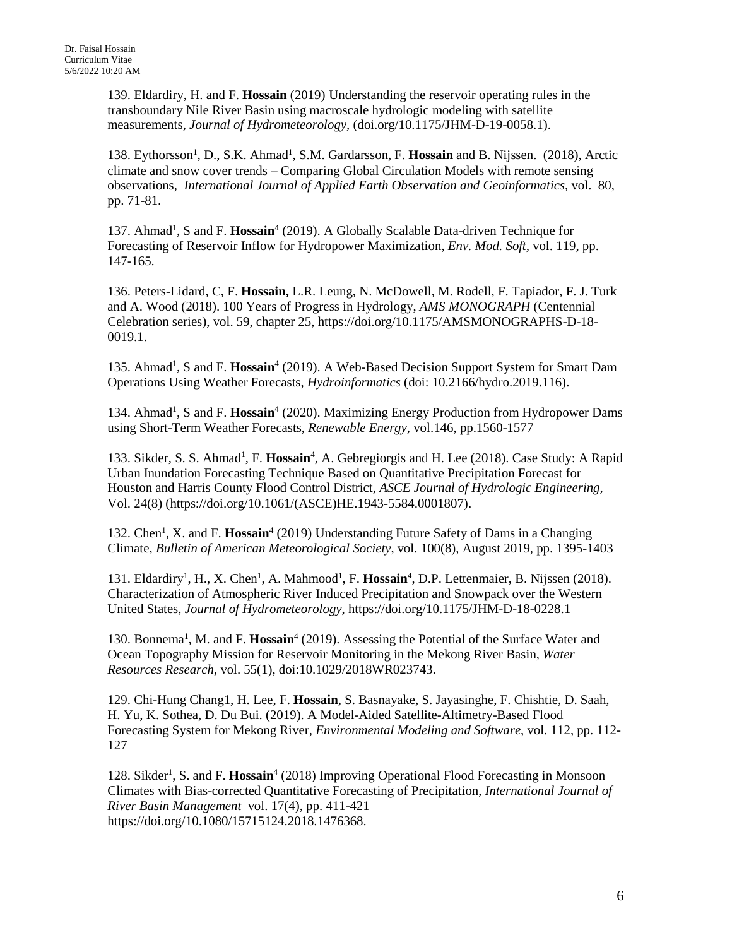139. Eldardiry, H. and F. **Hossain** (2019) Understanding the reservoir operating rules in the transboundary Nile River Basin using macroscale hydrologic modeling with satellite measurements, *Journal of Hydrometeorology,* (doi.org/10.1175/JHM-D-19-0058.1).

138. Eythorsson<sup>1</sup>, D., S.K. Ahmad<sup>1</sup>, S.M. Gardarsson, F. Hossain and B. Nijssen. (2018), Arctic climate and snow cover trends – Comparing Global Circulation Models with remote sensing observations, *International Journal of Applied Earth Observation and Geoinformatics,* vol. 80, pp. 71-81.

137. Ahmad<sup>1</sup>, S and F. Hossain<sup>4</sup> (2019). A Globally Scalable Data-driven Technique for Forecasting of Reservoir Inflow for Hydropower Maximization, *Env. Mod. Soft,* vol. 119, pp. 147-165.

136. Peters-Lidard, C, F. **Hossain,** L.R. Leung, N. McDowell, M. Rodell, F. Tapiador, F. J. Turk and A. Wood (2018). 100 Years of Progress in Hydrology, *AMS MONOGRAPH* (Centennial Celebration series), vol. 59, chapter 25, https://doi.org/10.1175/AMSMONOGRAPHS-D-18- 0019.1.

135. Ahmad<sup>1</sup>, S and F. Hossain<sup>4</sup> (2019). A Web-Based Decision Support System for Smart Dam Operations Using Weather Forecasts, *Hydroinformatics* (doi: 10.2166/hydro.2019.116).

134. Ahmad<sup>1</sup>, S and F. Hossain<sup>4</sup> (2020). Maximizing Energy Production from Hydropower Dams using Short-Term Weather Forecasts, *Renewable Energy*, vol.146, pp.1560-1577

133. Sikder, S. S. Ahmad<sup>1</sup>, F. Hossain<sup>4</sup>, A. Gebregiorgis and H. Lee (2018). Case Study: A Rapid Urban Inundation Forecasting Technique Based on Quantitative Precipitation Forecast for Houston and Harris County Flood Control District, *ASCE Journal of Hydrologic Engineering,* Vol. 24(8) [\(https://doi.org/10.1061/\(ASCE\)HE.1943-5584.0001807\).](https://doi.org/10.1061/(ASCE)HE.1943-5584.0001807))

132. Chen<sup>1</sup>, X. and F. Hossain<sup>4</sup> (2019) Understanding Future Safety of Dams in a Changing Climate, *Bulletin of American Meteorological Society*, vol. 100(8), August 2019, pp. 1395-1403

131. Eldardiry<sup>1</sup>, H., X. Chen<sup>1</sup>, A. Mahmood<sup>1</sup>, F. **Hossain<sup>4</sup>**, D.P. Lettenmaier, B. Nijssen (2018). Characterization of Atmospheric River Induced Precipitation and Snowpack over the Western United States, *Journal of Hydrometeorology*, https://doi.org/10.1175/JHM-D-18-0228.1

130. Bonnema<sup>1</sup>, M. and F. **Hossain**<sup>4</sup> (2019). Assessing the Potential of the Surface Water and Ocean Topography Mission for Reservoir Monitoring in the Mekong River Basin, *Water Resources Research,* vol. 55(1), doi:10.1029/2018WR023743.

129. Chi-Hung Chang1, H. Lee, F. **Hossain**, S. Basnayake, S. Jayasinghe, F. Chishtie, D. Saah, H. Yu, K. Sothea, D. Du Bui. (2019). A Model-Aided Satellite-Altimetry-Based Flood Forecasting System for Mekong River, *Environmental Modeling and Software*, vol. 112, pp. 112- 127

128. Sikder<sup>1</sup>, S. and F. Hossain<sup>4</sup> (2018) Improving Operational Flood Forecasting in Monsoon Climates with Bias-corrected Quantitative Forecasting of Precipitation, *International Journal of River Basin Management* vol. 17(4), pp. 411-421 https://doi.org/10.1080/15715124.2018.1476368.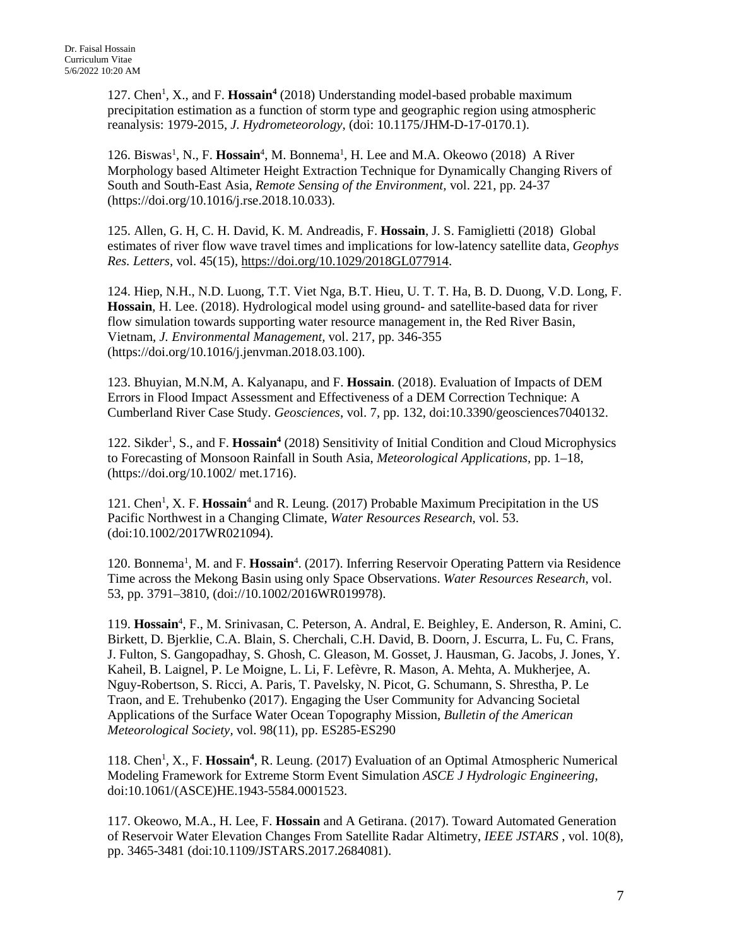127. Chen<sup>1</sup>, X., and F. Hossain<sup>4</sup> (2018) Understanding model-based probable maximum precipitation estimation as a function of storm type and geographic region using atmospheric reanalysis: 1979-2015, *J. Hydrometeorology*, (doi: 10.1175/JHM-D-17-0170.1).

126. Biswas<sup>1</sup>, N., F. **Hossain**<sup>4</sup>, M. Bonnema<sup>1</sup>, H. Lee and M.A. Okeowo (2018) A River Morphology based Altimeter Height Extraction Technique for Dynamically Changing Rivers of South and South-East Asia, *Remote Sensing of the Environment,* vol. 221, pp. 24-37 (https://doi.org/10.1016/j.rse.2018.10.033).

125. Allen, G. H, C. H. David, K. M. Andreadis, F. **Hossain**, J. S. Famiglietti (2018) Global estimates of river flow wave travel times and implications for low-latency satellite data, *Geophys Res. Letters,* vol. 45(15), [https://doi.org/10.1029/2018GL077914.](https://doi.org/10.1029/2018GL077914)

124. Hiep, N.H., N.D. Luong, T.T. Viet Nga, B.T. Hieu, U. T. T. Ha, B. D. Duong, V.D. Long, F. **Hossain**, H. Lee. (2018). Hydrological model using ground- and satellite-based data for river flow simulation towards supporting water resource management in, the Red River Basin, Vietnam, *J. Environmental Management,* vol. 217, pp. 346-355 (https://doi.org/10.1016/j.jenvman.2018.03.100).

123. Bhuyian, M.N.M, A. Kalyanapu, and F. **Hossain**. (2018). Evaluation of Impacts of DEM Errors in Flood Impact Assessment and Effectiveness of a DEM Correction Technique: A Cumberland River Case Study. *Geosciences*, vol. 7, pp. 132, doi:10.3390/geosciences7040132.

122. Sikder<sup>1</sup>, S., and F. Hossain<sup>4</sup> (2018) Sensitivity of Initial Condition and Cloud Microphysics to Forecasting of Monsoon Rainfall in South Asia, *Meteorological Applications,* pp. 1–18, (https://doi.org/10.1002/ met.1716).

121. Chen<sup>1</sup>, X. F. Hossain<sup>4</sup> and R. Leung. (2017) Probable Maximum Precipitation in the US Pacific Northwest in a Changing Climate, *Water Resources Research*, vol. 53. (doi:10.1002/2017WR021094).

120. Bonnema<sup>1</sup>, M. and F. Hossain<sup>4</sup>. (2017). Inferring Reservoir Operating Pattern via Residence Time across the Mekong Basin using only Space Observations. *Water Resources Research*, vol. 53, pp. 3791–3810, (doi://10.1002/2016WR019978).

119. Hossain<sup>4</sup>, F., M. Srinivasan, C. Peterson, A. Andral, E. Beighley, E. Anderson, R. Amini, C. Birkett, D. Bjerklie, C.A. Blain, S. Cherchali, C.H. David, B. Doorn, J. Escurra, L. Fu, C. Frans, J. Fulton, S. Gangopadhay, S. Ghosh, C. Gleason, M. Gosset, J. Hausman, G. Jacobs, J. Jones, Y. Kaheil, B. Laignel, P. Le Moigne, L. Li, F. Lefèvre, R. Mason, A. Mehta, A. Mukherjee, A. Nguy-Robertson, S. Ricci, A. Paris, T. Pavelsky, N. Picot, G. Schumann, S. Shrestha, P. Le Traon, and E. Trehubenko (2017). Engaging the User Community for Advancing Societal Applications of the Surface Water Ocean Topography Mission, *Bulletin of the American Meteorological Society,* vol. 98(11), pp. ES285-ES290

118. Chen<sup>1</sup>, X., F. Hossain<sup>4</sup>, R. Leung. (2017) Evaluation of an Optimal Atmospheric Numerical Modeling Framework for Extreme Storm Event Simulation *ASCE J Hydrologic Engineering*, doi:10.1061/(ASCE)HE.1943-5584.0001523.

117. Okeowo, M.A., H. Lee, F. **Hossain** and A Getirana. (2017). Toward Automated Generation of Reservoir Water Elevation Changes From Satellite Radar Altimetry, *IEEE JSTARS* , vol. 10(8), pp. 3465-3481 (doi:10.1109/JSTARS.2017.2684081).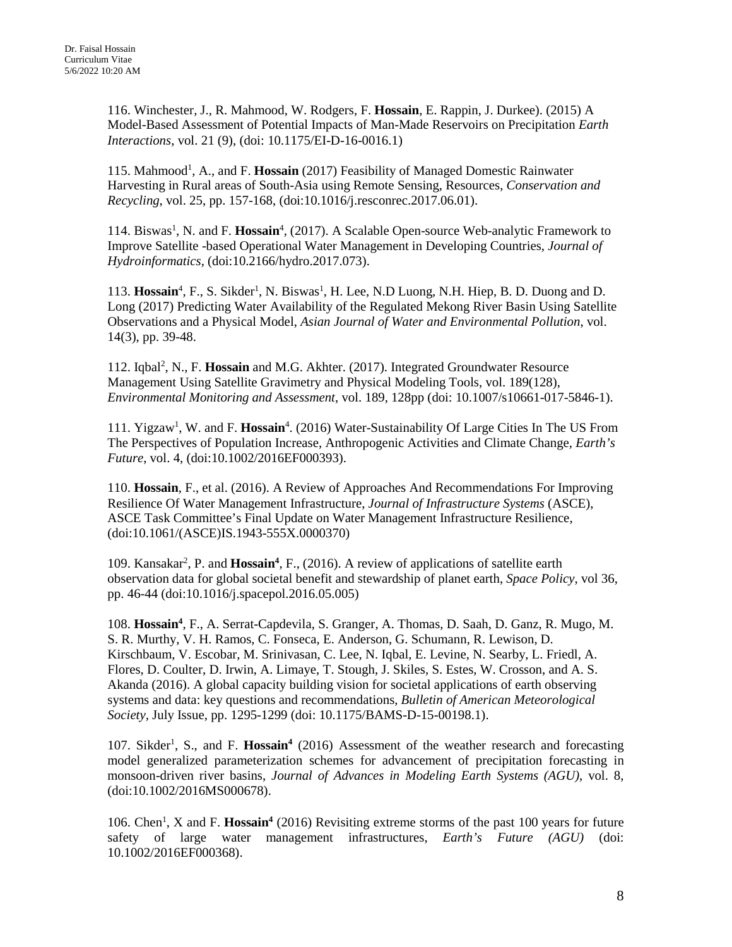116. Winchester, J., R. Mahmood, W. Rodgers, F. **Hossain**, E. Rappin, J. Durkee). (2015) A Model-Based Assessment of Potential Impacts of Man-Made Reservoirs on Precipitation *Earth Interactions*, vol. 21 (9), (doi: 10.1175/EI-D-16-0016.1)

115. Mahmood<sup>1</sup>, A., and F. Hossain (2017) Feasibility of Managed Domestic Rainwater Harvesting in Rural areas of South-Asia using Remote Sensing, Resources, *Conservation and Recycling*, vol. 25, pp. 157-168, (doi:10.1016/j.resconrec.2017.06.01).

114. Biswas<sup>1</sup>, N. and F. Hossain<sup>4</sup>, (2017). A Scalable Open-source Web-analytic Framework to Improve Satellite -based Operational Water Management in Developing Countries, *Journal of Hydroinformatics,* (doi:10.2166/hydro.2017.073).

113. Hossain<sup>4</sup>, F., S. Sikder<sup>1</sup>, N. Biswas<sup>1</sup>, H. Lee, N.D Luong, N.H. Hiep, B. D. Duong and D. Long (2017) Predicting Water Availability of the Regulated Mekong River Basin Using Satellite Observations and a Physical Model, *Asian Journal of Water and Environmental Pollution*, vol. 14(3), pp. 39-48.

112. Iqbal<sup>2</sup>, N., F. Hossain and M.G. Akhter. (2017). Integrated Groundwater Resource Management Using Satellite Gravimetry and Physical Modeling Tools, vol. 189(128), *Environmental Monitoring and Assessment*, vol. 189, 128pp (doi: 10.1007/s10661-017-5846-1).

111. Yigzaw<sup>1</sup>, W. and F. Hossain<sup>4</sup>. (2016) Water-Sustainability Of Large Cities In The US From The Perspectives of Population Increase, Anthropogenic Activities and Climate Change, *Earth's Future*, vol. 4, (doi:10.1002/2016EF000393).

110. **Hossain**, F., et al. (2016). A Review of Approaches And Recommendations For Improving Resilience Of Water Management Infrastructure, *Journal of Infrastructure Systems* (ASCE), ASCE Task Committee's Final Update on Water Management Infrastructure Resilience, (doi:10.1061/(ASCE)IS.1943-555X.0000370)

109. Kansakar<sup>2</sup>, P. and Hossain<sup>4</sup>, F., (2016). A review of applications of satellite earth observation data for global societal benefit and stewardship of planet earth, *Space Policy*, vol 36, pp. 46-44 (doi:10.1016/j.spacepol.2016.05.005)

108. Hossain<sup>4</sup>, F., A. Serrat-Capdevila, S. Granger, A. Thomas, D. Saah, D. Ganz, R. Mugo, M. S. R. Murthy, V. H. Ramos, C. Fonseca, E. Anderson, G. Schumann, R. Lewison, D. Kirschbaum, V. Escobar, M. Srinivasan, C. Lee, N. Iqbal, E. Levine, N. Searby, L. Friedl, A. Flores, D. Coulter, D. Irwin, A. Limaye, T. Stough, J. Skiles, S. Estes, W. Crosson, and A. S. Akanda (2016). A global capacity building vision for societal applications of earth observing systems and data: key questions and recommendations, *Bulletin of American Meteorological Society,* July Issue, pp. 1295-1299 (doi: 10.1175/BAMS-D-15-00198.1).

107. Sikder<sup>1</sup>, S., and F. Hossain<sup>4</sup> (2016) Assessment of the weather research and forecasting model generalized parameterization schemes for advancement of precipitation forecasting in monsoon-driven river basins, *Journal of Advances in Modeling Earth Systems (AGU)*, vol. 8, (doi:10.1002/2016MS000678).

106. Chen<sup>1</sup>, X and F. **Hossain<sup>4</sup>** (2016) Revisiting extreme storms of the past 100 years for future safety of large water management infrastructures, *Earth's Future (AGU)* (doi: 10.1002/2016EF000368).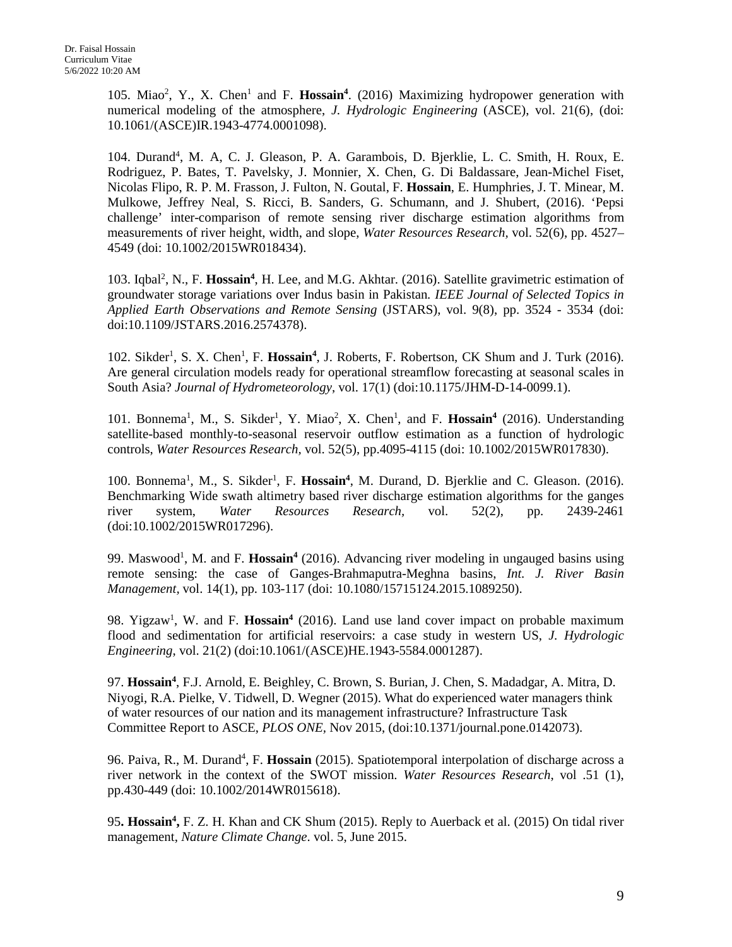105. Miao<sup>2</sup>, Y., X. Chen<sup>1</sup> and F. Hossain<sup>4</sup>. (2016) Maximizing hydropower generation with numerical modeling of the atmosphere, *J. Hydrologic Engineering* (ASCE), vol. 21(6), (doi: 10.1061/(ASCE)IR.1943-4774.0001098).

104. Durand<sup>4</sup>, M. A, C. J. Gleason, P. A. Garambois, D. Bjerklie, L. C. Smith, H. Roux, E. Rodriguez, P. Bates, T. Pavelsky, J. Monnier, X. Chen, G. Di Baldassare, Jean-Michel Fiset, Nicolas Flipo, R. P. M. Frasson, J. Fulton, N. Goutal, F. **Hossain**, E. Humphries, J. T. Minear, M. Mulkowe, Jeffrey Neal, S. Ricci, B. Sanders, G. Schumann, and J. Shubert, (2016). 'Pepsi challenge' inter-comparison of remote sensing river discharge estimation algorithms from measurements of river height, width, and slope, *Water Resources Research,* vol. 52(6), pp. 4527– 4549 (doi: 10.1002/2015WR018434).

103. Iqbal<sup>2</sup>, N., F. Hossain<sup>4</sup>, H. Lee, and M.G. Akhtar. (2016). Satellite gravimetric estimation of groundwater storage variations over Indus basin in Pakistan*. IEEE Journal of Selected Topics in Applied Earth Observations and Remote Sensing* (JSTARS), vol. 9(8), pp. 3524 - 3534 (doi: doi:10.1109/JSTARS.2016.2574378).

102. Sikder<sup>1</sup>, S. X. Chen<sup>1</sup>, F. **Hossain<sup>4</sup>**, J. Roberts, F. Robertson, CK Shum and J. Turk (2016). Are general circulation models ready for operational streamflow forecasting at seasonal scales in South Asia? *Journal of Hydrometeorology*, vol. 17(1) (doi:10.1175/JHM-D-14-0099.1).

101. Bonnema<sup>1</sup>, M., S. Sikder<sup>1</sup>, Y. Miao<sup>2</sup>, X. Chen<sup>1</sup>, and F. **Hossain<sup>4</sup>** (2016). Understanding satellite-based monthly-to-seasonal reservoir outflow estimation as a function of hydrologic controls, *Water Resources Research,* vol. 52(5), pp.4095-4115 (doi: 10.1002/2015WR017830).

100. Bonnema<sup>1</sup>, M., S. Sikder<sup>1</sup>, F. Hossain<sup>4</sup>, M. Durand, D. Bjerklie and C. Gleason. (2016). Benchmarking Wide swath altimetry based river discharge estimation algorithms for the ganges river system, *Water Resources Research,* vol. 52(2), pp. 2439-2461 (doi:10.1002/2015WR017296).

99. Maswood<sup>1</sup>, M. and F. **Hossain<sup>4</sup>** (2016). Advancing river modeling in ungauged basins using remote sensing: the case of Ganges-Brahmaputra-Meghna basins, *Int. J. River Basin Management,* vol. 14(1), pp. 103-117 (doi: 10.1080/15715124.2015.1089250).

98. Yigzaw<sup>1</sup>, W. and F. Hossain<sup>4</sup> (2016). Land use land cover impact on probable maximum flood and sedimentation for artificial reservoirs: a case study in western US, *J. Hydrologic Engineering*, vol. 21(2) (doi:10.1061/(ASCE)HE.1943-5584.0001287).

97. Hossain<sup>4</sup>, F.J. Arnold, E. Beighley, C. Brown, S. Burian, J. Chen, S. Madadgar, A. Mitra, D. Niyogi, R.A. Pielke, V. Tidwell, D. Wegner (2015). What do experienced water managers think of water resources of our nation and its management infrastructure? Infrastructure Task Committee Report to ASCE, *PLOS ONE,* Nov 2015, (doi:10.1371/journal.pone.0142073).

96. Paiva, R., M. Durand<sup>4</sup>, F. Hossain (2015). Spatiotemporal interpolation of discharge across a river network in the context of the SWOT mission. *Water Resources Research*, vol .51 (1), pp.430-449 (doi: 10.1002/2014WR015618).

95. Hossain<sup>4</sup>, F. Z. H. Khan and CK Shum (2015). Reply to Auerback et al. (2015) On tidal river management, *Nature Climate Change*. vol. 5, June 2015.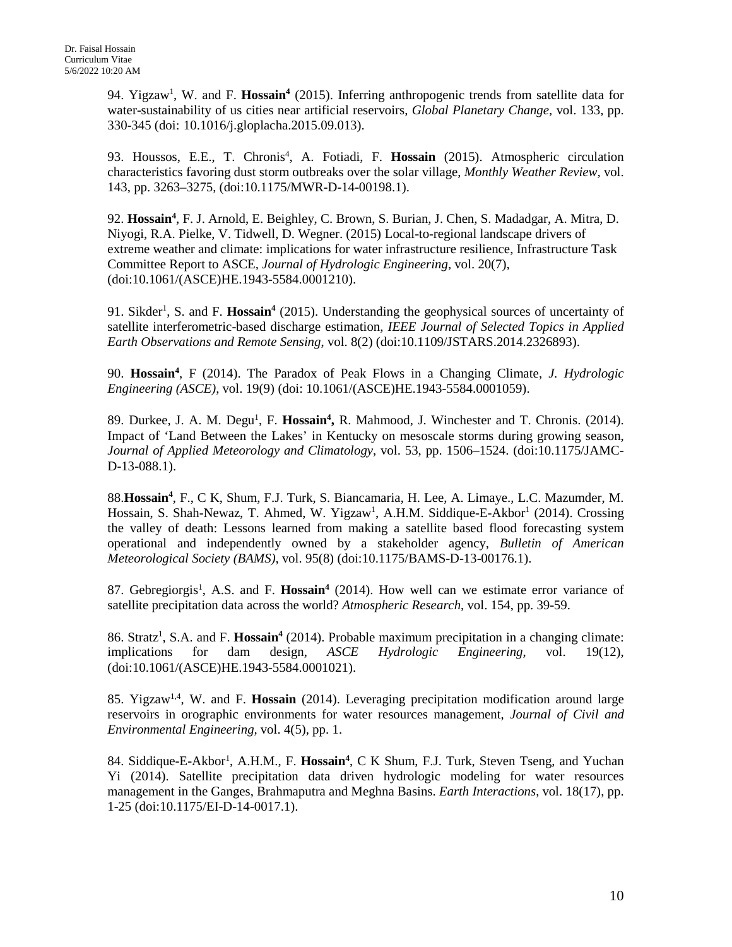94. Yigzaw<sup>1</sup>, W. and F. Hossain<sup>4</sup> (2015). Inferring anthropogenic trends from satellite data for water-sustainability of us cities near artificial reservoirs, *Global Planetary Change,* vol. 133, pp. 330-345 (doi: 10.1016/j.gloplacha.2015.09.013).

93. Houssos, E.E., T. Chronis<sup>4</sup>, A. Fotiadi, F. Hossain (2015). Atmospheric circulation characteristics favoring dust storm outbreaks over the solar village, *Monthly Weather Review,* vol. 143, pp. 3263–3275, (doi:10.1175/MWR-D-14-00198.1).

92. **Hossain4** , F. J. Arnold, E. Beighley, C. Brown, S. Burian, J. Chen, S. Madadgar, A. Mitra, D. Niyogi, R.A. Pielke, V. Tidwell, D. Wegner. (2015) Local-to-regional landscape drivers of extreme weather and climate: implications for water infrastructure resilience, Infrastructure Task Committee Report to ASCE*, Journal of Hydrologic Engineering*, vol. 20(7), (doi:10.1061/(ASCE)HE.1943-5584.0001210).

91. Sikder<sup>1</sup>, S. and F. Hossain<sup>4</sup> (2015). Understanding the geophysical sources of uncertainty of satellite interferometric-based discharge estimation, *IEEE Journal of Selected Topics in Applied Earth Observations and Remote Sensing*, vol. 8(2) (doi:10.1109/JSTARS.2014.2326893).

90. **Hossain4** , F (2014). The Paradox of Peak Flows in a Changing Climate, *J. Hydrologic Engineering (ASCE)*, vol. 19(9) (doi: 10.1061/(ASCE)HE.1943-5584.0001059).

89. Durkee, J. A. M. Degu<sup>1</sup>, F. Hossain<sup>4</sup>, R. Mahmood, J. Winchester and T. Chronis. (2014). Impact of 'Land Between the Lakes' in Kentucky on mesoscale storms during growing season, *Journal of Applied Meteorology and Climatology*, vol. 53, pp. 1506–1524. (doi:10.1175/JAMC-D-13-088.1).

88.**Hossain4** , F., C K, Shum, F.J. Turk, S. Biancamaria, H. Lee, A. Limaye., L.C. Mazumder, M. Hossain, S. Shah-Newaz, T. Ahmed, W. Yigzaw<sup>1</sup>, A.H.M. Siddique-E-Akbor<sup>1</sup> (2014). Crossing the valley of death: Lessons learned from making a satellite based flood forecasting system operational and independently owned by a stakeholder agency, *Bulletin of American Meteorological Society (BAMS)*, vol. 95(8) (doi:10.1175/BAMS-D-13-00176.1).

87. Gebregiorgis<sup>1</sup>, A.S. and F. Hossain<sup>4</sup> (2014). How well can we estimate error variance of satellite precipitation data across the world? *Atmospheric Research*, vol. 154, pp. 39-59.

86. Stratz<sup>1</sup>, S.A. and F. **Hossain<sup>4</sup>** (2014). Probable maximum precipitation in a changing climate: implications for dam design, *ASCE Hydrologic Engineering*, vol. 19(12), (doi:10.1061/(ASCE)HE.1943-5584.0001021).

85. Yigzaw1,4, W. and F. **Hossain** (2014). Leveraging precipitation modification around large reservoirs in orographic environments for water resources management, *Journal of Civil and Environmental Engineering,* vol. 4(5), pp. 1.

84. Siddique-E-Akbor<sup>1</sup>, A.H.M., F. Hossain<sup>4</sup>, C K Shum, F.J. Turk, Steven Tseng, and Yuchan Yi (2014). Satellite precipitation data driven hydrologic modeling for water resources management in the Ganges, Brahmaputra and Meghna Basins. *Earth Interactions*, vol. 18(17), pp. 1-25 (doi:10.1175/EI-D-14-0017.1).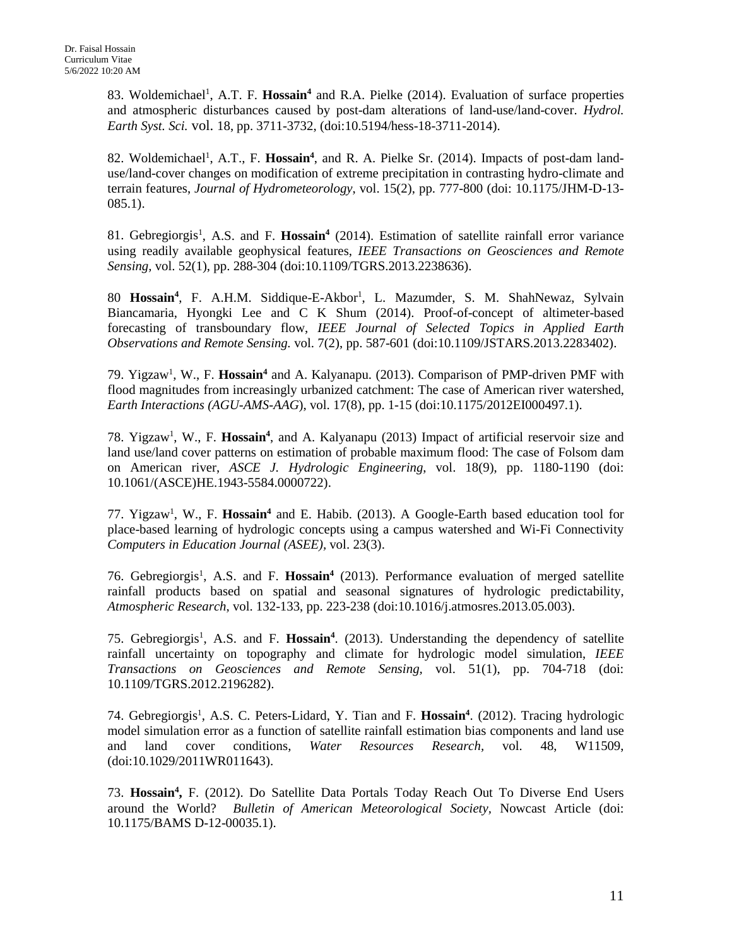83. Woldemichael<sup>1</sup>, A.T. F. Hossain<sup>4</sup> and R.A. Pielke (2014). Evaluation of surface properties and atmospheric disturbances caused by post-dam alterations of land-use/land-cover. *Hydrol. Earth Syst. Sci.* vol. 18, pp. 3711-3732, (doi:10.5194/hess-18-3711-2014).

82. Woldemichael<sup>1</sup>, A.T., F. Hossain<sup>4</sup>, and R. A. Pielke Sr. (2014). Impacts of post-dam landuse/land-cover changes on modification of extreme precipitation in contrasting hydro-climate and terrain features, *Journal of Hydrometeorology*, vol. 15(2), pp. 777-800 (doi: 10.1175/JHM-D-13- 085.1).

81. Gebregiorgis<sup>1</sup>, A.S. and F. Hossain<sup>4</sup> (2014). Estimation of satellite rainfall error variance using readily available geophysical features, *IEEE Transactions on Geosciences and Remote Sensing,* vol. 52(1), pp. 288-304 (doi:10.1109/TGRS.2013.2238636).

80 Hossain<sup>4</sup>, F. A.H.M. Siddique-E-Akbor<sup>1</sup>, L. Mazumder, S. M. ShahNewaz, Sylvain Biancamaria, Hyongki Lee and C K Shum (2014). Proof-of-concept of altimeter-based forecasting of transboundary flow, *IEEE Journal of Selected Topics in Applied Earth Observations and Remote Sensing.* vol. 7(2), pp. 587-601 (doi:10.1109/JSTARS.2013.2283402).

79. Yigzaw<sup>1</sup>, W., F. Hossain<sup>4</sup> and A. Kalyanapu. (2013). Comparison of PMP-driven PMF with flood magnitudes from increasingly urbanized catchment: The case of American river watershed, *Earth Interactions (AGU-AMS-AAG*), vol. 17(8), pp. 1-15 (doi:10.1175/2012EI000497.1).

78. Yigzaw<sup>1</sup>, W., F. Hossain<sup>4</sup>, and A. Kalyanapu (2013) Impact of artificial reservoir size and land use/land cover patterns on estimation of probable maximum flood: The case of Folsom dam on American river, *ASCE J. Hydrologic Engineering*, vol. 18(9), pp. 1180-1190 (doi: 10.1061/(ASCE)HE.1943-5584.0000722).

77. Yigzaw<sup>1</sup>, W., F. Hossain<sup>4</sup> and E. Habib. (2013). A Google-Earth based education tool for place-based learning of hydrologic concepts using a campus watershed and Wi-Fi Connectivity *Computers in Education Journal (ASEE),* vol. 23(3).

76. Gebregiorgis<sup>1</sup>, A.S. and F. Hossain<sup>4</sup> (2013). Performance evaluation of merged satellite rainfall products based on spatial and seasonal signatures of hydrologic predictability, *Atmospheric Research*, vol. 132-133, pp. 223-238 (doi:10.1016/j.atmosres.2013.05.003).

75. Gebregiorgis<sup>1</sup>, A.S. and F. Hossain<sup>4</sup>. (2013). Understanding the dependency of satellite rainfall uncertainty on topography and climate for hydrologic model simulation, *IEEE Transactions on Geosciences and Remote Sensing,* vol. 51(1), pp. 704-718 (doi: 10.1109/TGRS.2012.2196282).

74. Gebregiorgis<sup>1</sup>, A.S. C. Peters-Lidard, Y. Tian and F. Hossain<sup>4</sup>. (2012). Tracing hydrologic model simulation error as a function of satellite rainfall estimation bias components and land use and land cover conditions, *Water Resources Research,* vol. 48, W11509, (doi:10.1029/2011WR011643).

73. **Hossain4 ,** F. (2012). Do Satellite Data Portals Today Reach Out To Diverse End Users around the World? *Bulletin of American Meteorological Society,* Nowcast Article (doi: 10.1175/BAMS D-12-00035.1).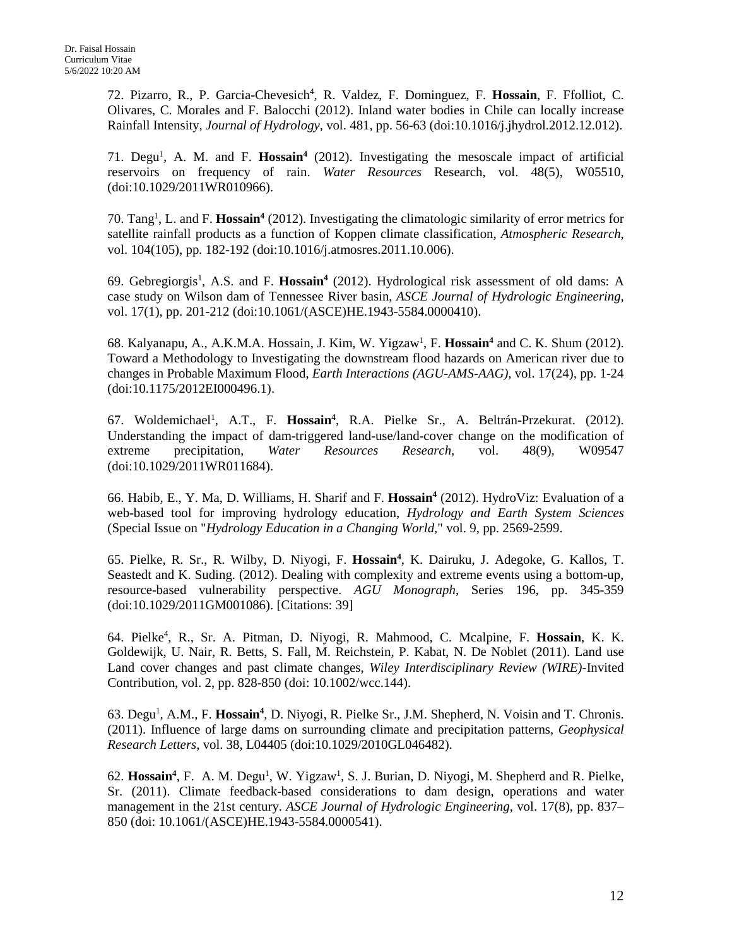72. Pizarro, R., P. Garcia-Chevesich<sup>4</sup>, R. Valdez, F. Dominguez, F. Hossain, F. Ffolliot, C. Olivares, C. Morales and F. Balocchi (2012). Inland water bodies in Chile can locally increase Rainfall Intensity, *Journal of Hydrology*, vol. 481, pp. 56-63 (doi:10.1016/j.jhydrol.2012.12.012).

71. Degu<sup>1</sup>, A. M. and F. Hossain<sup>4</sup> (2012). Investigating the mesoscale impact of artificial reservoirs on frequency of rain. *Water Resources* Research, vol. 48(5), W05510, (doi:10.1029/2011WR010966).

70. Tang1 , L. and F. **Hossain4** (2012). Investigating the climatologic similarity of error metrics for satellite rainfall products as a function of Koppen climate classification, *Atmospheric Research*, vol. 104(105), pp. 182-192 (doi:10.1016/j.atmosres.2011.10.006).

69. Gebregiorgis<sup>1</sup>, A.S. and F. Hossain<sup>4</sup> (2012). Hydrological risk assessment of old dams: A case study on Wilson dam of Tennessee River basin, *ASCE Journal of Hydrologic Engineering,* vol. 17(1), pp. 201-212 (doi:10.1061/(ASCE)HE.1943-5584.0000410).

68. Kalyanapu, A., A.K.M.A. Hossain, J. Kim, W. Yigzaw<sup>1</sup>, F. Hossain<sup>4</sup> and C. K. Shum (2012). Toward a Methodology to Investigating the downstream flood hazards on American river due to changes in Probable Maximum Flood, *Earth Interactions (AGU-AMS-AAG),* vol. 17(24), pp. 1-24 (doi:10.1175/2012EI000496.1).

67. Woldemichael<sup>1</sup>, A.T., F. **Hossain<sup>4</sup>**, R.A. Pielke Sr., A. Beltrán-Przekurat. (2012). Understanding the impact of dam-triggered land-use/land-cover change on the modification of extreme precipitation, *Water Resources Research,* vol. 48(9), W09547 (doi:10.1029/2011WR011684).

66. Habib, E., Y. Ma, D. Williams, H. Sharif and F. **Hossain4** (2012). HydroViz: Evaluation of a web-based tool for improving hydrology education, *Hydrology and Earth System Sciences* (Special Issue on "*Hydrology Education in a Changing World,*" vol. 9, pp. 2569-2599.

65. Pielke, R. Sr., R. Wilby, D. Niyogi, F. **Hossain4** , K. Dairuku, J. Adegoke, G. Kallos, T. Seastedt and K. Suding. (2012). Dealing with complexity and extreme events using a bottom-up, resource-based vulnerability perspective. *AGU Monograph*, Series 196, pp. 345-359 (doi:10.1029/2011GM001086). [Citations: 39]

64. Pielke<sup>4</sup>, R., Sr. A. Pitman, D. Niyogi, R. Mahmood, C. Mcalpine, F. Hossain, K. K. Goldewijk, U. Nair, R. Betts, S. Fall, M. Reichstein, P. Kabat, N. De Noblet (2011). Land use Land cover changes and past climate changes, *Wiley Interdisciplinary Review (WIRE)-*Invited Contribution, vol. 2, pp. 828-850 (doi: 10.1002/wcc.144).

63. Degu<sup>1</sup>, A.M., F. Hossain<sup>4</sup>, D. Niyogi, R. Pielke Sr., J.M. Shepherd, N. Voisin and T. Chronis. (2011). Influence of large dams on surrounding climate and precipitation patterns, *Geophysical Research Letters,* vol. 38, L04405 (doi:10.1029/2010GL046482).

62. Hossain<sup>4</sup>, F. A. M. Degu<sup>1</sup>, W. Yigzaw<sup>1</sup>, S. J. Burian, D. Niyogi, M. Shepherd and R. Pielke, Sr. (2011). Climate feedback-based considerations to dam design, operations and water management in the 21st century. *ASCE Journal of Hydrologic Engineering,* vol. 17(8), pp. 837– 850 (doi: 10.1061/(ASCE)HE.1943-5584.0000541).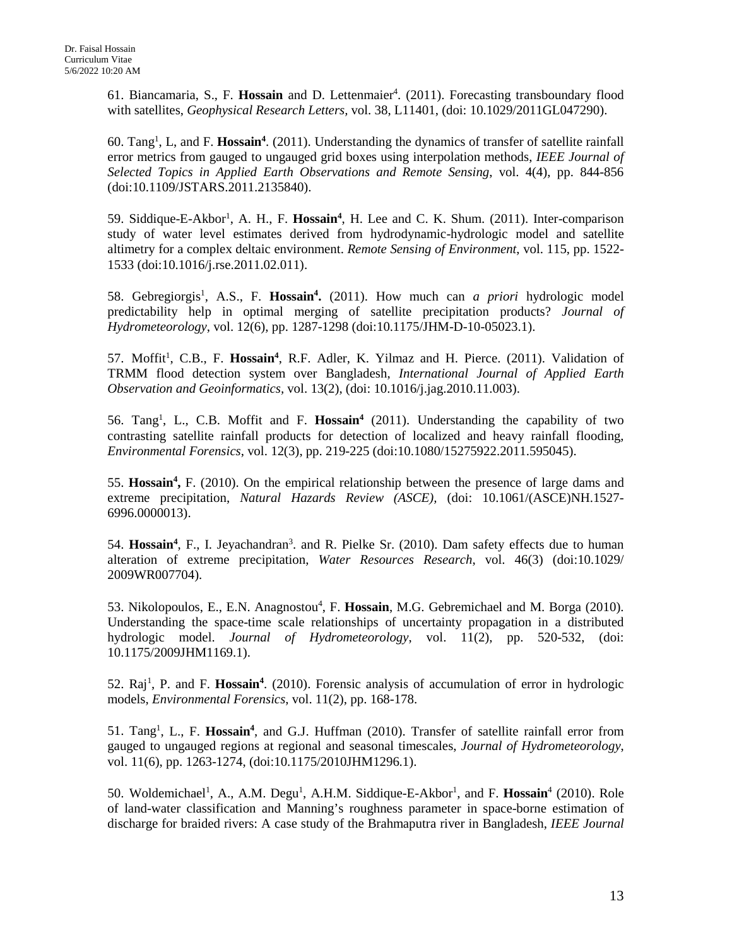61. Biancamaria, S., F. Hossain and D. Lettenmaier<sup>4</sup>. (2011). Forecasting transboundary flood with satellites, *Geophysical Research Letters,* vol. 38, L11401, (doi: 10.1029/2011GL047290).

60. Tang1 , L, and F. **Hossain4** . (2011). Understanding the dynamics of transfer of satellite rainfall error metrics from gauged to ungauged grid boxes using interpolation methods, *IEEE Journal of Selected Topics in Applied Earth Observations and Remote Sensing*, vol. 4(4), pp. 844-856 (doi:10.1109/JSTARS.2011.2135840).

59. Siddique-E-Akbor<sup>1</sup>, A. H., F. Hossain<sup>4</sup>, H. Lee and C. K. Shum. (2011). Inter-comparison study of water level estimates derived from hydrodynamic-hydrologic model and satellite altimetry for a complex deltaic environment. *Remote Sensing of Environment*, vol. 115, pp. 1522- 1533 (doi:10.1016/j.rse.2011.02.011).

58. Gebregiorgis<sup>1</sup>, A.S., F. Hossain<sup>4</sup>. (2011). How much can *a priori* hydrologic model predictability help in optimal merging of satellite precipitation products? *Journal of Hydrometeorology*, vol. 12(6), pp. 1287-1298 (doi:10.1175/JHM-D-10-05023.1).

57. Moffit<sup>1</sup>, C.B., F. Hossain<sup>4</sup>, R.F. Adler, K. Yilmaz and H. Pierce. (2011). Validation of TRMM flood detection system over Bangladesh, *International Journal of Applied Earth Observation and Geoinformatics,* vol. 13(2), (doi: 10.1016/j.jag.2010.11.003).

56. Tang<sup>1</sup>, L., C.B. Moffit and F. Hossain<sup>4</sup> (2011). Understanding the capability of two contrasting satellite rainfall products for detection of localized and heavy rainfall flooding, *Environmental Forensics*, vol. 12(3), pp. 219-225 (doi:10.1080/15275922.2011.595045).

55. Hossain<sup>4</sup>, F. (2010). On the empirical relationship between the presence of large dams and extreme precipitation, *Natural Hazards Review (ASCE),* (doi: 10.1061/(ASCE)NH.1527- 6996.0000013).

54. Hossain<sup>4</sup>, F., I. Jeyachandran<sup>3</sup>. and R. Pielke Sr. (2010). Dam safety effects due to human alteration of extreme precipitation, *Water Resources Research*, vol. 46(3) (doi:10.1029/ 2009WR007704).

53. Nikolopoulos, E., E.N. Anagnostou<sup>4</sup>, F. Hossain, M.G. Gebremichael and M. Borga (2010). Understanding the space-time scale relationships of uncertainty propagation in a distributed hydrologic model. *Journal of Hydrometeorology*, vol. 11(2), pp. 520-532, (doi: 10.1175/2009JHM1169.1).

52. Raj<sup>1</sup>, P. and F. Hossain<sup>4</sup>. (2010). Forensic analysis of accumulation of error in hydrologic models, *Environmental Forensics*, vol. 11(2), pp. 168-178.

51. Tang<sup>1</sup>, L., F. Hossain<sup>4</sup>, and G.J. Huffman (2010). Transfer of satellite rainfall error from gauged to ungauged regions at regional and seasonal timescales, *Journal of Hydrometeorology*, vol. 11(6), pp. 1263-1274, (doi:10.1175/2010JHM1296.1).

50. Woldemichael<sup>1</sup>, A., A.M. Degu<sup>1</sup>, A.H.M. Siddique-E-Akbor<sup>1</sup>, and F. **Hossain**<sup>4</sup> (2010). Role of land-water classification and Manning's roughness parameter in space-borne estimation of discharge for braided rivers: A case study of the Brahmaputra river in Bangladesh, *IEEE Journal*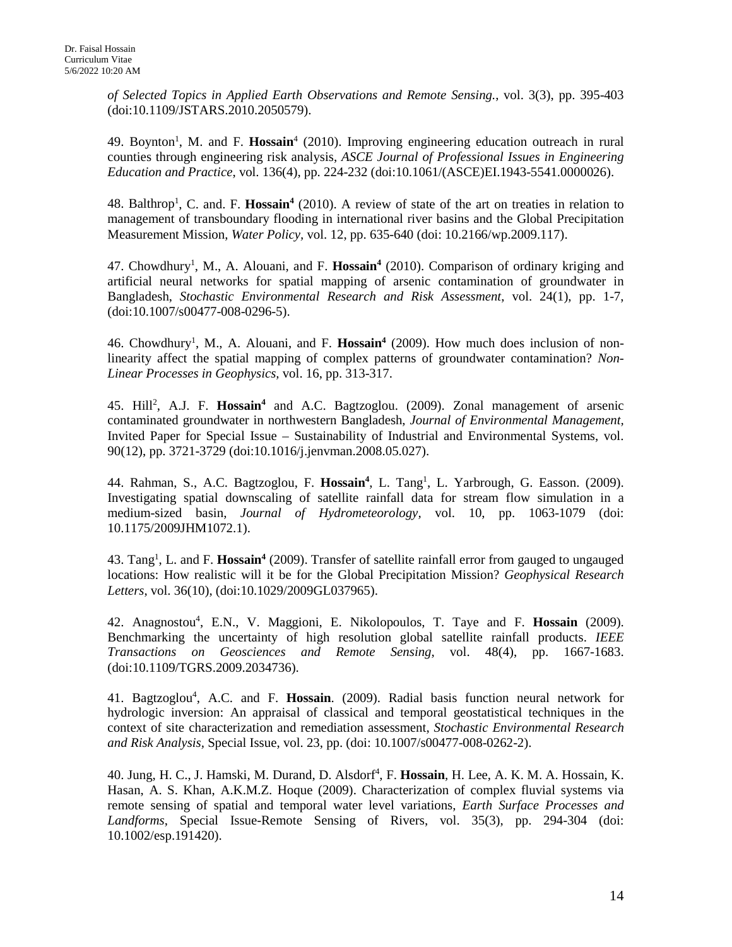*of Selected Topics in Applied Earth Observations and Remote Sensing.*, vol. 3(3), pp. 395-403 (doi:10.1109/JSTARS.2010.2050579).

49. Boynton<sup>1</sup>, M. and F. Hossain<sup>4</sup> (2010). Improving engineering education outreach in rural counties through engineering risk analysis, *ASCE Journal of Professional Issues in Engineering Education and Practice*, vol. 136(4), pp. 224-232 (doi:10.1061/(ASCE)EI.1943-5541.0000026).

48. Balthrop<sup>1</sup>, C. and. F. Hossain<sup>4</sup> (2010). A review of state of the art on treaties in relation to management of transboundary flooding in international river basins and the Global Precipitation Measurement Mission, *Water Policy,* vol. 12, pp. 635-640 (doi: 10.2166/wp.2009.117).

47. Chowdhury<sup>1</sup>, M., A. Alouani, and F. Hossain<sup>4</sup> (2010). Comparison of ordinary kriging and artificial neural networks for spatial mapping of arsenic contamination of groundwater in Bangladesh, *Stochastic Environmental Research and Risk Assessment*, vol. 24(1), pp. 1-7, (doi:10.1007/s00477-008-0296-5).

46. Chowdhury<sup>1</sup>, M., A. Alouani, and F. Hossain<sup>4</sup> (2009). How much does inclusion of nonlinearity affect the spatial mapping of complex patterns of groundwater contamination? *Non-Linear Processes in Geophysics,* vol. 16, pp. 313-317.

45. Hill<sup>2</sup>, A.J. F. Hossain<sup>4</sup> and A.C. Bagtzoglou. (2009). Zonal management of arsenic contaminated groundwater in northwestern Bangladesh, *Journal of Environmental Management,*  Invited Paper for Special Issue – Sustainability of Industrial and Environmental Systems, vol. 90(12), pp. 3721-3729 (doi:10.1016/j.jenvman.2008.05.027).

44. Rahman, S., A.C. Bagtzoglou, F. Hossain<sup>4</sup>, L. Tang<sup>1</sup>, L. Yarbrough, G. Easson. (2009). Investigating spatial downscaling of satellite rainfall data for stream flow simulation in a medium-sized basin, *Journal of Hydrometeorology,* vol. 10, pp. 1063-1079 (doi: 10.1175/2009JHM1072.1).

43. Tang<sup>1</sup>, L. and F. Hossain<sup>4</sup> (2009). Transfer of satellite rainfall error from gauged to ungauged locations: How realistic will it be for the Global Precipitation Mission? *Geophysical Research Letters*, vol. 36(10), (doi:10.1029/2009GL037965).

42. Anagnostou<sup>4</sup>, E.N., V. Maggioni, E. Nikolopoulos, T. Taye and F. Hossain (2009). Benchmarking the uncertainty of high resolution global satellite rainfall products. *IEEE Transactions on Geosciences and Remote Sensing*, vol. 48(4), pp. 1667-1683. (doi:10.1109/TGRS.2009.2034736).

41. Bagtzoglou<sup>4</sup>, A.C. and F. Hossain. (2009). Radial basis function neural network for hydrologic inversion: An appraisal of classical and temporal geostatistical techniques in the context of site characterization and remediation assessment, *Stochastic Environmental Research and Risk Analysis,* Special Issue, vol. 23, pp. (doi: 10.1007/s00477-008-0262-2).

40. Jung, H. C., J. Hamski, M. Durand, D. Alsdorf<sup>4</sup>, F. Hossain, H. Lee, A. K. M. A. Hossain, K. Hasan, A. S. Khan, A.K.M.Z. Hoque (2009). Characterization of complex fluvial systems via remote sensing of spatial and temporal water level variations, *Earth Surface Processes and Landforms*, Special Issue-Remote Sensing of Rivers, vol. 35(3), pp. 294-304 (doi: 10.1002/esp.191420).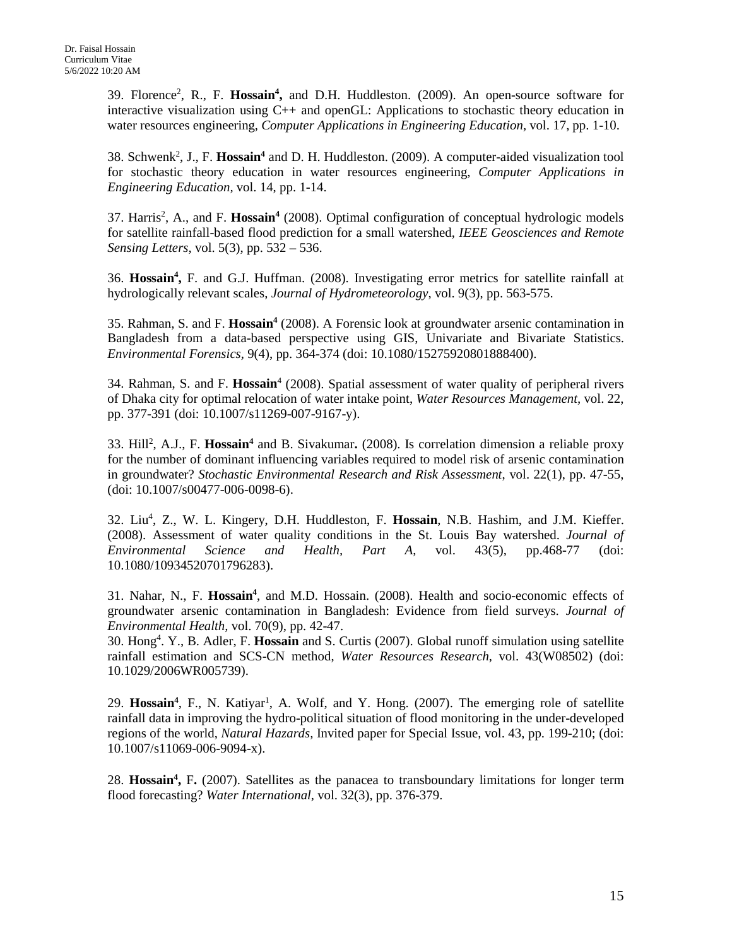39. Florence2 , R., F. **Hossain4 ,** and D.H. Huddleston. (2009). An open-source software for interactive visualization using C++ and openGL: Applications to stochastic theory education in water resources engineering, *Computer Applications in Engineering Education,* vol. 17, pp. 1-10.

38. Schwenk<sup>2</sup>, J., F. Hossain<sup>4</sup> and D. H. Huddleston. (2009). A computer-aided visualization tool for stochastic theory education in water resources engineering, *Computer Applications in Engineering Education,* vol. 14, pp. 1-14.

37. Harris<sup>2</sup>, A., and F. Hossain<sup>4</sup> (2008). Optimal configuration of conceptual hydrologic models for satellite rainfall-based flood prediction for a small watershed, *IEEE Geosciences and Remote Sensing Letters*, vol. 5(3), pp. 532 – 536.

36. **Hossain4 ,** F. and G.J. Huffman. (2008). Investigating error metrics for satellite rainfall at hydrologically relevant scales, *Journal of Hydrometeorology*, vol. 9(3), pp. 563-575.

35. Rahman, S. and F. **Hossain4** (2008). A Forensic look at groundwater arsenic contamination in Bangladesh from a data-based perspective using GIS, Univariate and Bivariate Statistics. *Environmental Forensics,* 9(4), pp. 364-374 (doi: 10.1080/15275920801888400).

34. Rahman, S. and F. **Hossain**<sup>4</sup> (2008). Spatial assessment of water quality of peripheral rivers of Dhaka city for optimal relocation of water intake point, *Water Resources Management,* vol. 22, pp. 377-391 (doi: 10.1007/s11269-007-9167-y).

33. Hill2 , A.J., F. **Hossain4** and B. Sivakumar**.** (2008). Is correlation dimension a reliable proxy for the number of dominant influencing variables required to model risk of arsenic contamination in groundwater? *Stochastic Environmental Research and Risk Assessment*, vol. 22(1), pp. 47-55, (doi: 10.1007/s00477-006-0098-6).

32. Liu4 , Z., W. L. Kingery, D.H. Huddleston, F. **Hossain**, N.B. Hashim, and J.M. Kieffer. (2008). Assessment of water quality conditions in the St. Louis Bay watershed. *Journal of Environmental Science and Health, Part A*, vol. 43(5), pp.468-77 (doi: 10.1080/10934520701796283).

31. Nahar, N., F. Hossain<sup>4</sup>, and M.D. Hossain. (2008). Health and socio-economic effects of groundwater arsenic contamination in Bangladesh: Evidence from field surveys. *Journal of Environmental Health,* vol. 70(9), pp. 42-47.

30. Hong4 . Y., B. Adler, F. **Hossain** and S. Curtis (2007). Global runoff simulation using satellite rainfall estimation and SCS-CN method, *Water Resources Research*, vol. 43(W08502) (doi: 10.1029/2006WR005739).

29. Hossain<sup>4</sup>, F., N. Katiyar<sup>1</sup>, A. Wolf, and Y. Hong. (2007). The emerging role of satellite rainfall data in improving the hydro-political situation of flood monitoring in the under-developed regions of the world, *Natural Hazards,* Invited paper for Special Issue, vol. 43, pp. 199-210; (doi: 10.1007/s11069-006-9094-x).

28. Hossain<sup>4</sup>, F. (2007). Satellites as the panacea to transboundary limitations for longer term flood forecasting? *Water International,* vol. 32(3), pp. 376-379.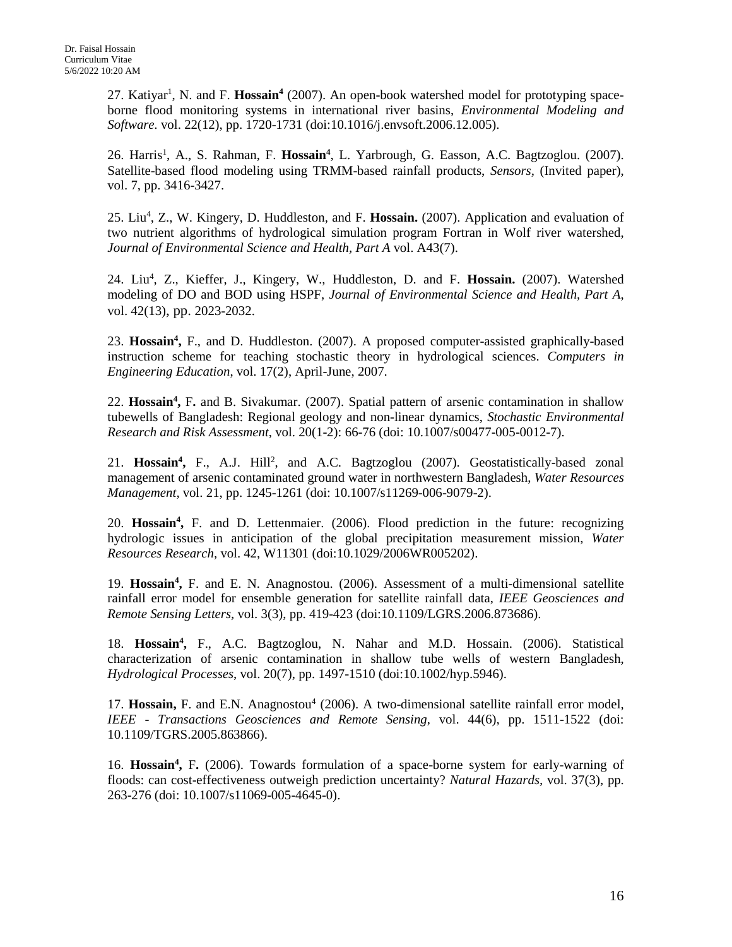27. Katiyar<sup>1</sup>, N. and F. Hossain<sup>4</sup> (2007). An open-book watershed model for prototyping spaceborne flood monitoring systems in international river basins, *Environmental Modeling and Software.* vol. 22(12), pp. 1720-1731 (doi:10.1016/j.envsoft.2006.12.005).

26. Harris<sup>1</sup>, A., S. Rahman, F. Hossain<sup>4</sup>, L. Yarbrough, G. Easson, A.C. Bagtzoglou. (2007). Satellite-based flood modeling using TRMM-based rainfall products, *Sensors,* (Invited paper), vol. 7, pp. 3416-3427.

25. Liu<sup>4</sup>, Z., W. Kingery, D. Huddleston, and F. Hossain. (2007). Application and evaluation of two nutrient algorithms of hydrological simulation program Fortran in Wolf river watershed, *Journal of Environmental Science and Health, Part A* vol. A43(7).

24. Liu<sup>4</sup>, Z., Kieffer, J., Kingery, W., Huddleston, D. and F. Hossain. (2007). Watershed modeling of DO and BOD using HSPF, *Journal of Environmental Science and Health, Part A*, vol. 42(13), pp. 2023-2032.

23. Hossain<sup>4</sup>, F., and D. Huddleston. (2007). A proposed computer-assisted graphically-based instruction scheme for teaching stochastic theory in hydrological sciences. *Computers in Engineering Education*, vol. 17(2), April-June, 2007.

22. Hossain<sup>4</sup>, F. and B. Sivakumar. (2007). Spatial pattern of arsenic contamination in shallow tubewells of Bangladesh: Regional geology and non-linear dynamics, *Stochastic Environmental Research and Risk Assessment*, vol. 20(1-2): 66-76 (doi: 10.1007/s00477-005-0012-7).

21. Hossain<sup>4</sup>, F., A.J. Hill<sup>2</sup>, and A.C. Bagtzoglou (2007). Geostatistically-based zonal management of arsenic contaminated ground water in northwestern Bangladesh, *Water Resources Management,* vol. 21, pp. 1245-1261 (doi: 10.1007/s11269-006-9079-2).

20. **Hossain4 ,** F. and D. Lettenmaier. (2006). Flood prediction in the future: recognizing hydrologic issues in anticipation of the global precipitation measurement mission, *Water Resources Research,* vol. 42, W11301 (doi:10.1029/2006WR005202).

19. Hossain<sup>4</sup>, F. and E. N. Anagnostou. (2006). Assessment of a multi-dimensional satellite rainfall error model for ensemble generation for satellite rainfall data, *IEEE Geosciences and Remote Sensing Letters,* vol. 3(3), pp. 419-423 (doi:10.1109/LGRS.2006.873686).

18. Hossain<sup>4</sup>, F., A.C. Bagtzoglou, N. Nahar and M.D. Hossain. (2006). Statistical characterization of arsenic contamination in shallow tube wells of western Bangladesh, *Hydrological Processes*, vol. 20(7), pp. 1497-1510 (doi:10.1002/hyp.5946).

17. Hossain, F. and E.N. Anagnostou<sup>4</sup> (2006). A two-dimensional satellite rainfall error model, *IEEE - Transactions Geosciences and Remote Sensing,* vol. 44(6), pp. 1511-1522 (doi: 10.1109/TGRS.2005.863866).

16. Hossain<sup>4</sup>, F. (2006). Towards formulation of a space-borne system for early-warning of floods: can cost-effectiveness outweigh prediction uncertainty? *Natural Hazards,* vol. 37(3), pp. 263-276 (doi: 10.1007/s11069-005-4645-0).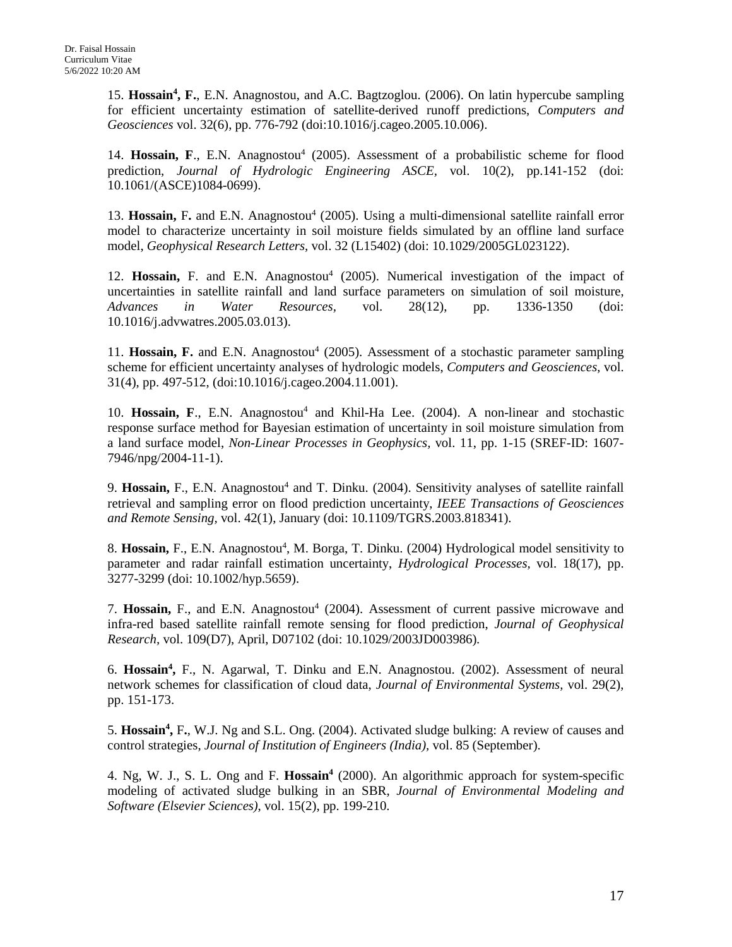15. Hossain<sup>4</sup>, F., E.N. Anagnostou, and A.C. Bagtzoglou. (2006). On latin hypercube sampling for efficient uncertainty estimation of satellite-derived runoff predictions, *Computers and Geosciences* vol. 32(6), pp. 776-792 (doi:10.1016/j.cageo.2005.10.006).

14. **Hossain, F**., E.N. Anagnostou<sup>4</sup> (2005). Assessment of a probabilistic scheme for flood prediction, *Journal of Hydrologic Engineering ASCE,* vol. 10(2), pp.141-152 (doi: 10.1061/(ASCE)1084-0699).

13. Hossain, F. and E.N. Anagnostou<sup>4</sup> (2005). Using a multi-dimensional satellite rainfall error model to characterize uncertainty in soil moisture fields simulated by an offline land surface model, *Geophysical Research Letters,* vol. 32 (L15402) (doi: 10.1029/2005GL023122).

12. Hossain, F. and E.N. Anagnostou<sup>4</sup> (2005). Numerical investigation of the impact of uncertainties in satellite rainfall and land surface parameters on simulation of soil moisture, *Advances in Water Resources,* vol. 28(12), pp. 1336-1350 (doi: 10.1016/j.advwatres.2005.03.013).

11. **Hossain, F.** and E.N. Anagnostou<sup>4</sup> (2005). Assessment of a stochastic parameter sampling scheme for efficient uncertainty analyses of hydrologic models, *Computers and Geosciences*, vol. 31(4), pp. 497-512, (doi:10.1016/j.cageo.2004.11.001).

10. **Hossain, F**., E.N. Anagnostou<sup>4</sup> and Khil-Ha Lee. (2004). A non-linear and stochastic response surface method for Bayesian estimation of uncertainty in soil moisture simulation from a land surface model, *Non-Linear Processes in Geophysics,* vol. 11, pp. 1-15 (SREF-ID: 1607- 7946/npg/2004-11-1).

9. **Hossain,** F., E.N. Anagnostou<sup>4</sup> and T. Dinku. (2004). Sensitivity analyses of satellite rainfall retrieval and sampling error on flood prediction uncertainty, *IEEE Transactions of Geosciences and Remote Sensing,* vol. 42(1), January (doi: 10.1109/TGRS.2003.818341).

8. Hossain, F., E.N. Anagnostou<sup>4</sup>, M. Borga, T. Dinku. (2004) Hydrological model sensitivity to parameter and radar rainfall estimation uncertainty, *Hydrological Processes,* vol. 18(17), pp. 3277-3299 (doi: 10.1002/hyp.5659).

7. **Hossain,** F., and E.N. Anagnostou<sup>4</sup> (2004). Assessment of current passive microwave and infra-red based satellite rainfall remote sensing for flood prediction, *Journal of Geophysical Research,* vol. 109(D7), April, D07102 (doi: 10.1029/2003JD003986)*.*

6. **Hossain4 ,** F., N. Agarwal, T. Dinku and E.N. Anagnostou. (2002). Assessment of neural network schemes for classification of cloud data, *Journal of Environmental Systems,* vol. 29(2), pp. 151-173.

5. **Hossain4 ,** F**.**, W.J. Ng and S.L. Ong. (2004). Activated sludge bulking: A review of causes and control strategies, *Journal of Institution of Engineers (India),* vol. 85 (September).

4. Ng, W. J., S. L. Ong and F. **Hossain4** (2000). An algorithmic approach for system-specific modeling of activated sludge bulking in an SBR, *Journal of Environmental Modeling and Software (Elsevier Sciences)*, vol. 15(2), pp. 199-210.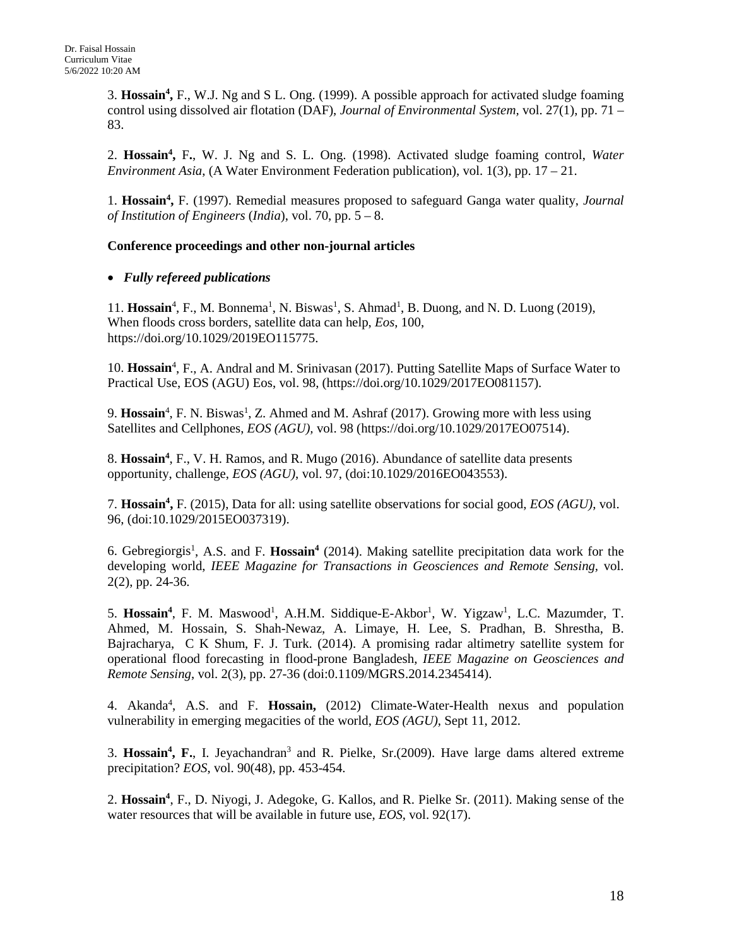3. **Hossain4 ,** F., W.J. Ng and S L. Ong. (1999). A possible approach for activated sludge foaming control using dissolved air flotation (DAF), *Journal of Environmental System,* vol. 27(1), pp. 71 – 83.

2. **Hossain4 ,** F**.**, W. J. Ng and S. L. Ong. (1998). Activated sludge foaming control, *Water Environment Asia*, (A Water Environment Federation publication), vol. 1(3), pp. 17 – 21.

1. **Hossain4 ,** F. (1997). Remedial measures proposed to safeguard Ganga water quality, *Journal of Institution of Engineers* (*India*), vol. 70, pp. 5 – 8.

### **Conference proceedings and other non-journal articles**

### • *Fully refereed publications*

11. Hossain<sup>4</sup>, F., M. Bonnema<sup>1</sup>, N. Biswas<sup>1</sup>, S. Ahmad<sup>1</sup>, B. Duong, and N. D. Luong (2019), When floods cross borders, satellite data can help, *Eos*, 100, https://doi.org/10.1029/2019EO115775.

10. Hossain<sup>4</sup>, F., A. Andral and M. Srinivasan (2017). Putting Satellite Maps of Surface Water to Practical Use, EOS (AGU) Eos, vol. 98, (https://doi.org/10.1029/2017EO081157).

9. Hossain<sup>4</sup>, F. N. Biswas<sup>1</sup>, Z. Ahmed and M. Ashraf (2017). Growing more with less using Satellites and Cellphones, *EOS (AGU),* vol. 98 (https://doi.org/10.1029/2017EO07514).

8. **Hossain4** , F., V. H. Ramos, and R. Mugo (2016). Abundance of satellite data presents opportunity, challenge, *EOS (AGU)*, vol. 97, (doi:10.1029/2016EO043553).

7. **Hossain4 ,** F. (2015), Data for all: using satellite observations for social good, *EOS (AGU)*, vol. 96, (doi:10.1029/2015EO037319).

6. Gebregiorgis<sup>1</sup>, A.S. and F. Hossain<sup>4</sup> (2014). Making satellite precipitation data work for the developing world, *IEEE Magazine for Transactions in Geosciences and Remote Sensing,* vol. 2(2), pp. 24-36.

5. Hossain<sup>4</sup>, F. M. Maswood<sup>1</sup>, A.H.M. Siddique-E-Akbor<sup>1</sup>, W. Yigzaw<sup>1</sup>, L.C. Mazumder, T. Ahmed, M. Hossain, S. Shah-Newaz, A. Limaye, H. Lee, S. Pradhan, B. Shrestha, B. Bajracharya, C K Shum, F. J. Turk. (2014). A promising radar altimetry satellite system for operational flood forecasting in flood-prone Bangladesh, *IEEE Magazine on Geosciences and Remote Sensing*, vol. 2(3), pp. 27-36 (doi:0.1109/MGRS.2014.2345414).

4. Akanda4 , A.S. and F. **Hossain,** (2012) Climate-Water-Health nexus and population vulnerability in emerging megacities of the world, *EOS (AGU)*, Sept 11, 2012.

3. **Hossain4 , F.**, I. Jeyachandran3 and R. Pielke, Sr.(2009). Have large dams altered extreme precipitation? *EOS*, vol. 90(48), pp. 453-454.

2. **Hossain4** , F., D. Niyogi, J. Adegoke, G. Kallos, and R. Pielke Sr. (2011). Making sense of the water resources that will be available in future use, *EOS*, vol. 92(17).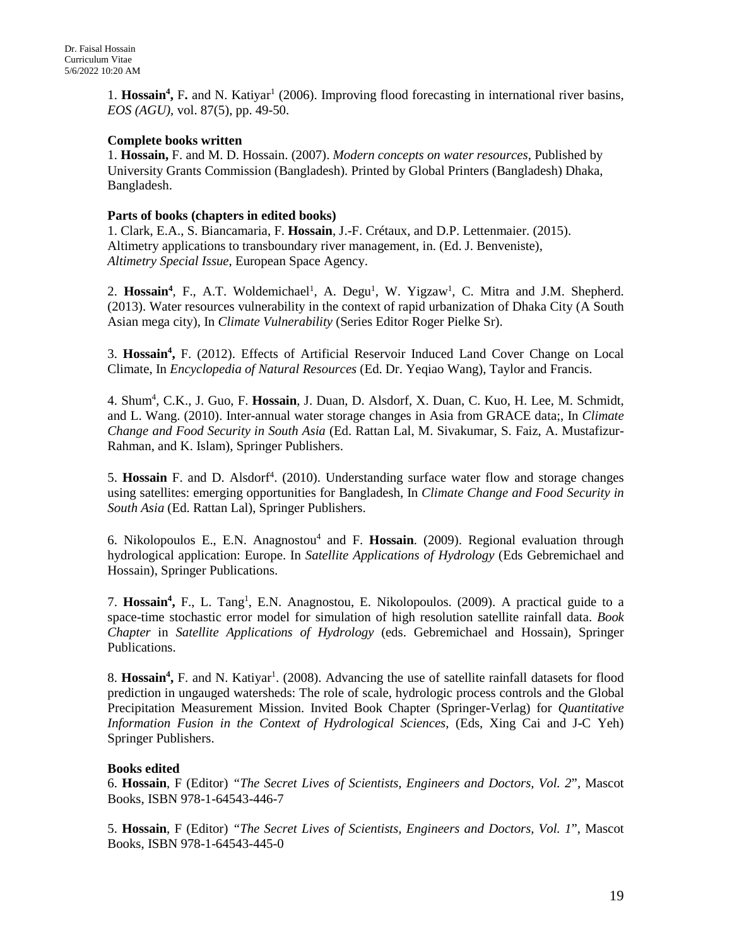1. Hossain<sup>4</sup>, F. and N. Katiyar<sup>1</sup> (2006). Improving flood forecasting in international river basins, *EOS (AGU),* vol. 87(5), pp. 49-50.

### **Complete books written**

1. **Hossain,** F. and M. D. Hossain. (2007). *Modern concepts on water resources*, Published by University Grants Commission (Bangladesh). Printed by Global Printers (Bangladesh) Dhaka, Bangladesh.

### **Parts of books (chapters in edited books)**

1. Clark, E.A., S. Biancamaria, F. **Hossain**, J.-F. Crétaux, and D.P. Lettenmaier. (2015). Altimetry applications to transboundary river management, in. (Ed. J. Benveniste), *Altimetry Special Issue*, European Space Agency.

2. Hossain<sup>4</sup>, F., A.T. Woldemichael<sup>1</sup>, A. Degu<sup>1</sup>, W. Yigzaw<sup>1</sup>, C. Mitra and J.M. Shepherd. (2013). Water resources vulnerability in the context of rapid urbanization of Dhaka City (A South Asian mega city), In *Climate Vulnerability* (Series Editor Roger Pielke Sr).

3. **Hossain4 ,** F. (2012). Effects of Artificial Reservoir Induced Land Cover Change on Local Climate, In *Encyclopedia of Natural Resources* (Ed. Dr. Yeqiao Wang), Taylor and Francis.

4. Shum4 , C.K., J. Guo, F. **Hossain**, J. Duan, D. Alsdorf, X. Duan, C. Kuo, H. Lee, M. Schmidt, and L. Wang. (2010). Inter-annual water storage changes in Asia from GRACE data;, In *Climate Change and Food Security in South Asia* (Ed. Rattan Lal, M. Sivakumar, S. Faiz, A. Mustafizur-Rahman, and K. Islam), Springer Publishers.

5. Hossain F. and D. Alsdorf<sup>4</sup>. (2010). Understanding surface water flow and storage changes using satellites: emerging opportunities for Bangladesh, In *Climate Change and Food Security in South Asia* (Ed. Rattan Lal), Springer Publishers.

6. Nikolopoulos E., E.N. Anagnostou4 and F. **Hossain**. (2009). Regional evaluation through hydrological application: Europe. In *Satellite Applications of Hydrology* (Eds Gebremichael and Hossain), Springer Publications.

7. Hossain<sup>4</sup>, F., L. Tang<sup>1</sup>, E.N. Anagnostou, E. Nikolopoulos. (2009). A practical guide to a space-time stochastic error model for simulation of high resolution satellite rainfall data. *Book Chapter* in *Satellite Applications of Hydrology* (eds. Gebremichael and Hossain), Springer Publications.

8. Hossain<sup>4</sup>, F. and N. Katiyar<sup>1</sup>. (2008). Advancing the use of satellite rainfall datasets for flood prediction in ungauged watersheds: The role of scale, hydrologic process controls and the Global Precipitation Measurement Mission. Invited Book Chapter (Springer-Verlag) for *Quantitative Information Fusion in the Context of Hydrological Sciences,* (Eds, Xing Cai and J-C Yeh) Springer Publishers.

### **Books edited**

6. **Hossain**, F (Editor) *"The Secret Lives of Scientists, Engineers and Doctors, Vol. 2*", Mascot Books, ISBN 978-1-64543-446-7

5. **Hossain**, F (Editor) *"The Secret Lives of Scientists, Engineers and Doctors, Vol. 1*", Mascot Books, ISBN 978-1-64543-445-0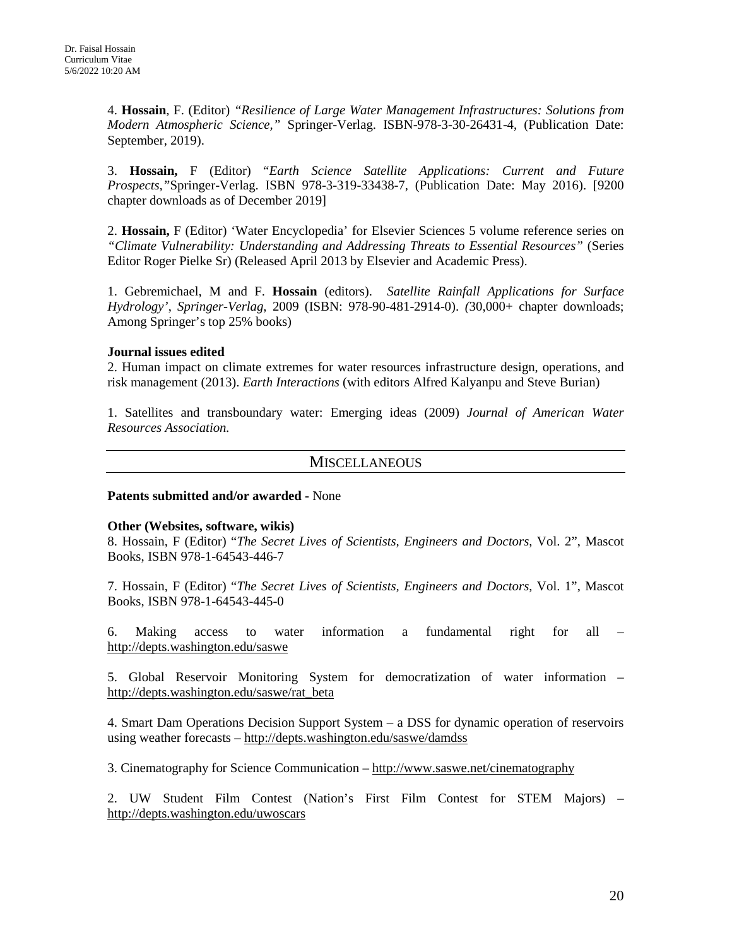4. **Hossain**, F. (Editor) *"Resilience of Large Water Management Infrastructures: Solutions from Modern Atmospheric Science,"* Springer-Verlag. ISBN-978-3-30-26431-4, (Publication Date: September, 2019).

3. **Hossain,** F (Editor) "*Earth Science Satellite Applications: Current and Future Prospects,"*Springer-Verlag. ISBN 978-3-319-33438-7, (Publication Date: May 2016). [9200 chapter downloads as of December 2019]

2. **Hossain,** F (Editor) 'Water Encyclopedia' for Elsevier Sciences 5 volume reference series on *"Climate Vulnerability: Understanding and Addressing Threats to Essential Resources"* (Series Editor Roger Pielke Sr) (Released April 2013 by Elsevier and Academic Press).

1. Gebremichael, M and F. **Hossain** (editors). *Satellite Rainfall Applications for Surface Hydrology'*, *Springer-Verlag*, 2009 (ISBN: 978-90-481-2914-0). *(*30,000+ chapter downloads; Among Springer's top 25% books)

### **Journal issues edited**

2. Human impact on climate extremes for water resources infrastructure design, operations, and risk management (2013). *Earth Interactions* (with editors Alfred Kalyanpu and Steve Burian)

1. Satellites and transboundary water: Emerging ideas (2009) *Journal of American Water Resources Association.*

## **MISCELLANEOUS**

### **Patents submitted and/or awarded -** None

### **Other (Websites, software, wikis)**

8. Hossain, F (Editor) "*The Secret Lives of Scientists, Engineers and Doctors*, Vol. 2", Mascot Books, ISBN 978-1-64543-446-7

7. Hossain, F (Editor) "*The Secret Lives of Scientists, Engineers and Doctors*, Vol. 1", Mascot Books, ISBN 978-1-64543-445-0

6. Making access to water information a fundamental right for all – <http://depts.washington.edu/saswe>

5. Global Reservoir Monitoring System for democratization of water information – [http://depts.washington.edu/saswe/rat\\_beta](http://depts.washington.edu/saswe/rat_beta)

4. Smart Dam Operations Decision Support System – a DSS for dynamic operation of reservoirs using weather forecasts – <http://depts.washington.edu/saswe/damdss>

3. Cinematography for Science Communication – <http://www.saswe.net/cinematography>

2. UW Student Film Contest (Nation's First Film Contest for STEM Majors) – <http://depts.washington.edu/uwoscars>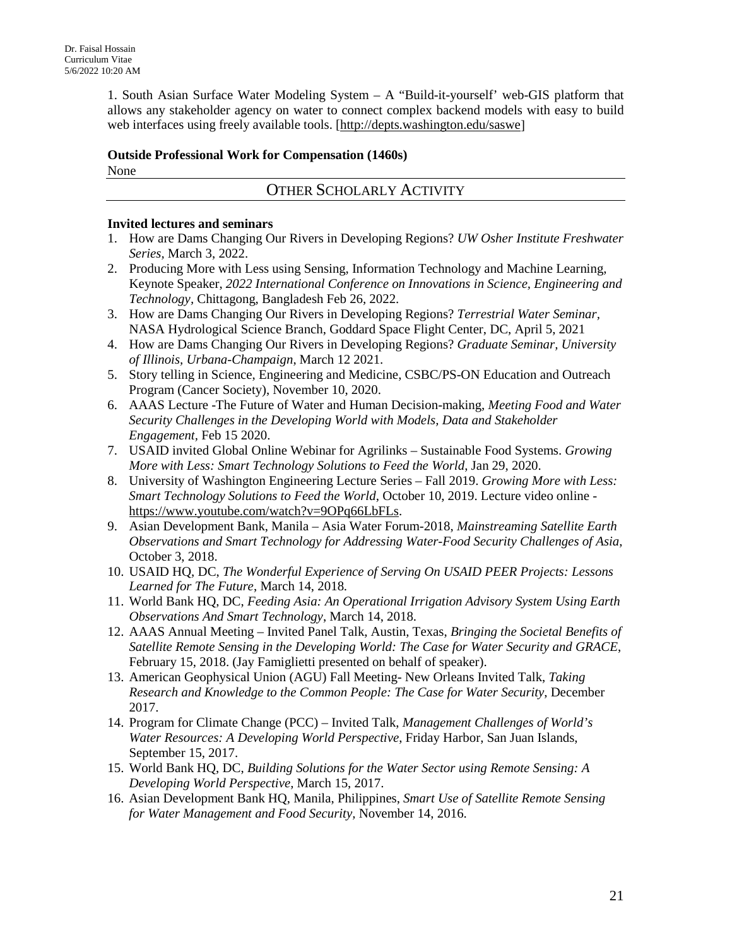1. South Asian Surface Water Modeling System – A "Build-it-yourself' web-GIS platform that allows any stakeholder agency on water to connect complex backend models with easy to build web interfaces using freely available tools. [\[http://depts.washington.edu/saswe\]](http://depts.washington.edu/saswe)

# **Outside Professional Work for Compensation (1460s)**

None

# OTHER SCHOLARLY ACTIVITY

# **Invited lectures and seminars**

- 1. How are Dams Changing Our Rivers in Developing Regions? *UW Osher Institute Freshwater Series,* March 3, 2022.
- 2. Producing More with Less using Sensing, Information Technology and Machine Learning, Keynote Speaker, *2022 International Conference on Innovations in Science, Engineering and Technology,* Chittagong, Bangladesh Feb 26, 2022.
- 3. How are Dams Changing Our Rivers in Developing Regions? *Terrestrial Water Seminar,*  NASA Hydrological Science Branch, Goddard Space Flight Center, DC, April 5, 2021
- 4. How are Dams Changing Our Rivers in Developing Regions? *Graduate Seminar, University of Illinois, Urbana-Champaign*, March 12 2021.
- 5. Story telling in Science, Engineering and Medicine, CSBC/PS-ON Education and Outreach Program (Cancer Society), November 10, 2020.
- 6. AAAS Lecture -The Future of Water and Human Decision-making, *Meeting Food and Water Security Challenges in the Developing World with Models, Data and Stakeholder Engagement,* Feb 15 2020.
- 7. USAID invited Global Online Webinar for Agrilinks Sustainable Food Systems. *Growing More with Less: Smart Technology Solutions to Feed the World*, Jan 29, 2020.
- 8. University of Washington Engineering Lecture Series Fall 2019. *Growing More with Less: Smart Technology Solutions to Feed the World*, October 10, 2019. Lecture video online [https://www.youtube.com/watch?v=9OPq66LbFLs.](https://www.youtube.com/watch?v=9OPq66LbFLs)
- 9. Asian Development Bank, Manila Asia Water Forum-2018, *Mainstreaming Satellite Earth Observations and Smart Technology for Addressing Water-Food Security Challenges of Asia*, October 3, 2018.
- 10. USAID HQ, DC, *The Wonderful Experience of Serving On USAID PEER Projects: Lessons Learned for The Future*, March 14, 2018.
- 11. World Bank HQ, DC, *Feeding Asia: An Operational Irrigation Advisory System Using Earth Observations And Smart Technology*, March 14, 2018.
- 12. AAAS Annual Meeting Invited Panel Talk, Austin, Texas, *Bringing the Societal Benefits of Satellite Remote Sensing in the Developing World: The Case for Water Security and GRACE*, February 15, 2018. (Jay Famiglietti presented on behalf of speaker).
- 13. American Geophysical Union (AGU) Fall Meeting- New Orleans Invited Talk, *Taking Research and Knowledge to the Common People: The Case for Water Security*, December 2017.
- 14. Program for Climate Change (PCC) Invited Talk, *Management Challenges of World's Water Resources: A Developing World Perspective*, Friday Harbor, San Juan Islands, September 15, 2017.
- 15. World Bank HQ, DC, *Building Solutions for the Water Sector using Remote Sensing: A Developing World Perspective,* March 15, 2017.
- 16. Asian Development Bank HQ, Manila, Philippines, *Smart Use of Satellite Remote Sensing for Water Management and Food Security,* November 14, 2016.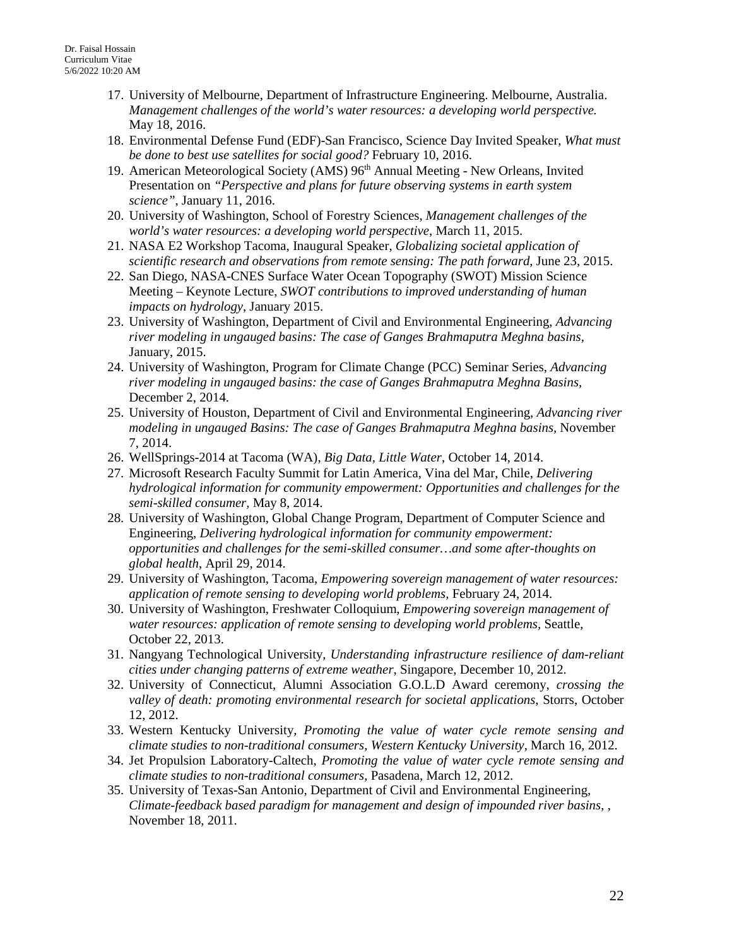- 17. University of Melbourne, Department of Infrastructure Engineering. Melbourne, Australia. *Management challenges of the world's water resources: a developing world perspective.* May 18, 2016.
- 18. Environmental Defense Fund (EDF)-San Francisco, Science Day Invited Speaker, *What must be done to best use satellites for social good?* February 10, 2016.
- 19. American Meteorological Society (AMS) 96<sup>th</sup> Annual Meeting New Orleans, Invited Presentation on *"Perspective and plans for future observing systems in earth system science"*, January 11, 2016.
- 20. University of Washington, School of Forestry Sciences, *Management challenges of the world's water resources: a developing world perspective*, March 11, 2015.
- 21. NASA E2 Workshop Tacoma, Inaugural Speaker, *Globalizing societal application of scientific research and observations from remote sensing: The path forward*, June 23, 2015.
- 22. San Diego, NASA-CNES Surface Water Ocean Topography (SWOT) Mission Science Meeting – Keynote Lecture, *SWOT contributions to improved understanding of human impacts on hydrology*, January 2015.
- 23. University of Washington, Department of Civil and Environmental Engineering, *Advancing river modeling in ungauged basins: The case of Ganges Brahmaputra Meghna basins,* January, 2015.
- 24. University of Washington, Program for Climate Change (PCC) Seminar Series, *Advancing river modeling in ungauged basins: the case of Ganges Brahmaputra Meghna Basins,* December 2, 2014.
- 25. University of Houston, Department of Civil and Environmental Engineering, *Advancing river modeling in ungauged Basins: The case of Ganges Brahmaputra Meghna basins,* November 7, 2014.
- 26. WellSprings-2014 at Tacoma (WA), *Big Data, Little Water*, October 14, 2014.
- 27. Microsoft Research Faculty Summit for Latin America, Vina del Mar, Chile, *Delivering hydrological information for community empowerment: Opportunities and challenges for the semi-skilled consumer,* May 8, 2014.
- 28. University of Washington, Global Change Program, Department of Computer Science and Engineering, *Delivering hydrological information for community empowerment: opportunities and challenges for the semi-skilled consumer…and some after-thoughts on global health*, April 29, 2014.
- 29. University of Washington, Tacoma, *Empowering sovereign management of water resources: application of remote sensing to developing world problems,* February 24, 2014.
- 30. University of Washington, Freshwater Colloquium, *Empowering sovereign management of water resources: application of remote sensing to developing world problems,* Seattle, October 22, 2013.
- 31. Nangyang Technological University, *Understanding infrastructure resilience of dam-reliant cities under changing patterns of extreme weather*, Singapore, December 10, 2012.
- 32. University of Connecticut, Alumni Association G.O.L.D Award ceremony, *crossing the valley of death: promoting environmental research for societal applications*, Storrs, October 12, 2012.
- 33. Western Kentucky University, *Promoting the value of water cycle remote sensing and climate studies to non-traditional consumers*, *Western Kentucky University*, March 16, 2012.
- 34. Jet Propulsion Laboratory-Caltech, *Promoting the value of water cycle remote sensing and climate studies to non-traditional consumers*, Pasadena, March 12, 2012.
- 35. University of Texas-San Antonio, Department of Civil and Environmental Engineering, *Climate-feedback based paradigm for management and design of impounded river basins*, , November 18, 2011.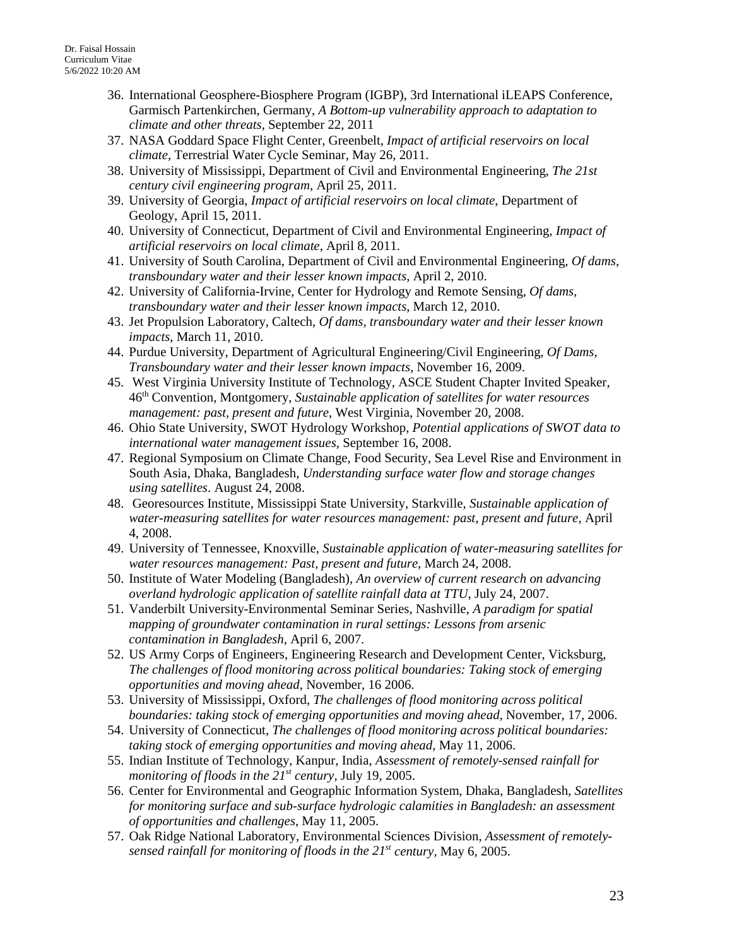- 36. International Geosphere-Biosphere Program (IGBP), 3rd International iLEAPS Conference, Garmisch Partenkirchen, Germany, *A Bottom-up vulnerability approach to adaptation to climate and other threats*, September 22, 2011
- 37. NASA Goddard Space Flight Center, Greenbelt, *Impact of artificial reservoirs on local climate*, Terrestrial Water Cycle Seminar, May 26, 2011.
- 38. University of Mississippi, Department of Civil and Environmental Engineering, *The 21st century civil engineering program*, April 25, 2011.
- 39. University of Georgia, *Impact of artificial reservoirs on local climate*, Department of Geology, April 15, 2011.
- 40. University of Connecticut, Department of Civil and Environmental Engineering, *Impact of artificial reservoirs on local climate*, April 8, 2011.
- 41. University of South Carolina, Department of Civil and Environmental Engineering, *Of dams, transboundary water and their lesser known impacts*, April 2, 2010.
- 42. University of California-Irvine, Center for Hydrology and Remote Sensing, *Of dams, transboundary water and their lesser known impacts*, March 12, 2010.
- 43. Jet Propulsion Laboratory, Caltech, *Of dams, transboundary water and their lesser known impacts*, March 11, 2010.
- 44. Purdue University, Department of Agricultural Engineering/Civil Engineering, *Of Dams, Transboundary water and their lesser known impacts*, November 16, 2009.
- 45. West Virginia University Institute of Technology, ASCE Student Chapter Invited Speaker, 46th Convention, Montgomery, *Sustainable application of satellites for water resources management: past, present and future*, West Virginia, November 20, 2008.
- 46. Ohio State University, SWOT Hydrology Workshop, *Potential applications of SWOT data to international water management issues,* September 16, 2008.
- 47. Regional Symposium on Climate Change, Food Security, Sea Level Rise and Environment in South Asia, Dhaka, Bangladesh, *Understanding surface water flow and storage changes using satellites*. August 24, 2008.
- 48. Georesources Institute, Mississippi State University*,* Starkville, *Sustainable application of water-measuring satellites for water resources management: past, present and future,* April 4, 2008.
- 49. University of Tennessee, Knoxville, *Sustainable application of water-measuring satellites for water resources management: Past, present and future*, March 24, 2008.
- 50. Institute of Water Modeling (Bangladesh), *An overview of current research on advancing overland hydrologic application of satellite rainfall data at TTU*, July 24, 2007.
- 51. Vanderbilt University-Environmental Seminar Series, Nashville, *A paradigm for spatial mapping of groundwater contamination in rural settings: Lessons from arsenic contamination in Bangladesh*, April 6, 2007.
- 52. US Army Corps of Engineers, Engineering Research and Development Center, Vicksburg, *The challenges of flood monitoring across political boundaries: Taking stock of emerging opportunities and moving ahead*, November, 16 2006.
- 53. University of Mississippi, Oxford, *The challenges of flood monitoring across political boundaries: taking stock of emerging opportunities and moving ahead,* November, 17, 2006.
- 54. University of Connecticut, *The challenges of flood monitoring across political boundaries: taking stock of emerging opportunities and moving ahead*, May 11, 2006.
- 55. Indian Institute of Technology, Kanpur, India, *Assessment of remotely-sensed rainfall for monitoring of floods in the 21st century,* July 19, 2005.
- 56. Center for Environmental and Geographic Information System, Dhaka, Bangladesh, *Satellites for monitoring surface and sub-surface hydrologic calamities in Bangladesh: an assessment of opportunities and challenges*, May 11, 2005.
- 57. Oak Ridge National Laboratory, Environmental Sciences Division, *Assessment of remotelysensed rainfall for monitoring of floods in the 21st century,* May 6, 2005.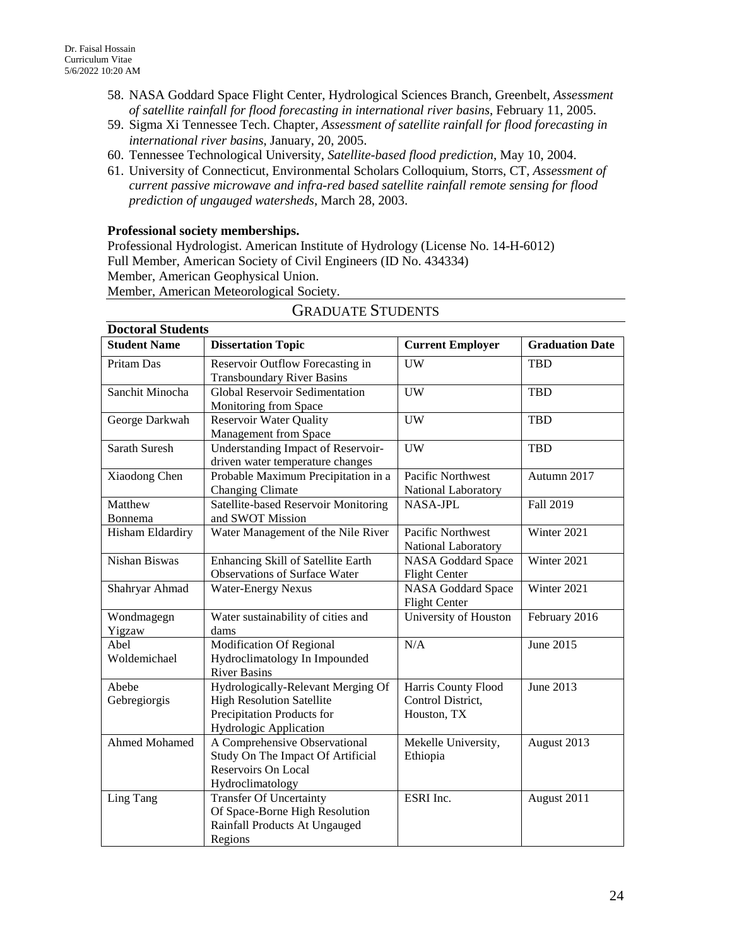- 58. NASA Goddard Space Flight Center, Hydrological Sciences Branch, Greenbelt, *Assessment of satellite rainfall for flood forecasting in international river basins*, February 11, 2005.
- 59. Sigma Xi Tennessee Tech. Chapter, *Assessment of satellite rainfall for flood forecasting in international river basins*, January, 20, 2005.
- 60. Tennessee Technological University, *Satellite-based flood prediction*, May 10, 2004.
- 61. University of Connecticut, Environmental Scholars Colloquium, Storrs, CT, *Assessment of current passive microwave and infra-red based satellite rainfall remote sensing for flood prediction of ungauged watersheds*, March 28, 2003.

### **Professional society memberships.**

Professional Hydrologist. American Institute of Hydrology (License No. 14-H-6012) Full Member, American Society of Civil Engineers (ID No. 434334)

Member, American Geophysical Union. Member, American Meteorological Society.

| <b>Doctoral Students</b>                         |                                      |                           |                        |  |  |  |  |  |
|--------------------------------------------------|--------------------------------------|---------------------------|------------------------|--|--|--|--|--|
| <b>Student Name</b><br><b>Dissertation Topic</b> |                                      | <b>Current Employer</b>   | <b>Graduation Date</b> |  |  |  |  |  |
| Pritam Das                                       | Reservoir Outflow Forecasting in     | <b>UW</b>                 | <b>TBD</b>             |  |  |  |  |  |
|                                                  | <b>Transboundary River Basins</b>    |                           |                        |  |  |  |  |  |
| Sanchit Minocha                                  | Global Reservoir Sedimentation       | <b>UW</b>                 | <b>TBD</b>             |  |  |  |  |  |
|                                                  | Monitoring from Space                |                           |                        |  |  |  |  |  |
| George Darkwah                                   | <b>Reservoir Water Quality</b>       | <b>UW</b>                 | <b>TBD</b>             |  |  |  |  |  |
|                                                  | Management from Space                |                           |                        |  |  |  |  |  |
| Sarath Suresh                                    | Understanding Impact of Reservoir-   | <b>UW</b>                 | <b>TBD</b>             |  |  |  |  |  |
|                                                  | driven water temperature changes     |                           |                        |  |  |  |  |  |
| Xiaodong Chen                                    | Probable Maximum Precipitation in a  | Pacific Northwest         | Autumn 2017            |  |  |  |  |  |
|                                                  | <b>Changing Climate</b>              | National Laboratory       |                        |  |  |  |  |  |
| Matthew                                          | Satellite-based Reservoir Monitoring | <b>NASA-JPL</b>           | Fall 2019              |  |  |  |  |  |
| Bonnema                                          | and SWOT Mission                     |                           |                        |  |  |  |  |  |
| Hisham Eldardiry                                 | Water Management of the Nile River   | Pacific Northwest         | Winter 2021            |  |  |  |  |  |
|                                                  |                                      | National Laboratory       |                        |  |  |  |  |  |
| Nishan Biswas                                    | Enhancing Skill of Satellite Earth   | NASA Goddard Space        | Winter 2021            |  |  |  |  |  |
|                                                  | <b>Observations of Surface Water</b> | <b>Flight Center</b>      |                        |  |  |  |  |  |
| Shahryar Ahmad                                   | <b>Water-Energy Nexus</b>            | <b>NASA Goddard Space</b> | Winter 2021            |  |  |  |  |  |
|                                                  |                                      | <b>Flight Center</b>      |                        |  |  |  |  |  |
| Wondmagegn                                       | Water sustainability of cities and   | University of Houston     | February 2016          |  |  |  |  |  |
| Yigzaw                                           | dams                                 |                           |                        |  |  |  |  |  |
| Abel                                             | Modification Of Regional             | N/A                       | June 2015              |  |  |  |  |  |
| Woldemichael                                     | Hydroclimatology In Impounded        |                           |                        |  |  |  |  |  |
|                                                  | <b>River Basins</b>                  |                           |                        |  |  |  |  |  |
| Abebe                                            | Hydrologically-Relevant Merging Of   | Harris County Flood       | June 2013              |  |  |  |  |  |
| Gebregiorgis                                     | <b>High Resolution Satellite</b>     | Control District,         |                        |  |  |  |  |  |
|                                                  | Precipitation Products for           | Houston, TX               |                        |  |  |  |  |  |
|                                                  | Hydrologic Application               |                           |                        |  |  |  |  |  |
| Ahmed Mohamed                                    | A Comprehensive Observational        | Mekelle University,       | August 2013            |  |  |  |  |  |
|                                                  | Study On The Impact Of Artificial    | Ethiopia                  |                        |  |  |  |  |  |
|                                                  | Reservoirs On Local                  |                           |                        |  |  |  |  |  |
|                                                  | Hydroclimatology                     |                           |                        |  |  |  |  |  |
| Ling Tang                                        | <b>Transfer Of Uncertainty</b>       | ESRI Inc.                 | August 2011            |  |  |  |  |  |
|                                                  | Of Space-Borne High Resolution       |                           |                        |  |  |  |  |  |
|                                                  | Rainfall Products At Ungauged        |                           |                        |  |  |  |  |  |
|                                                  | Regions                              |                           |                        |  |  |  |  |  |

# GRADUATE STUDENTS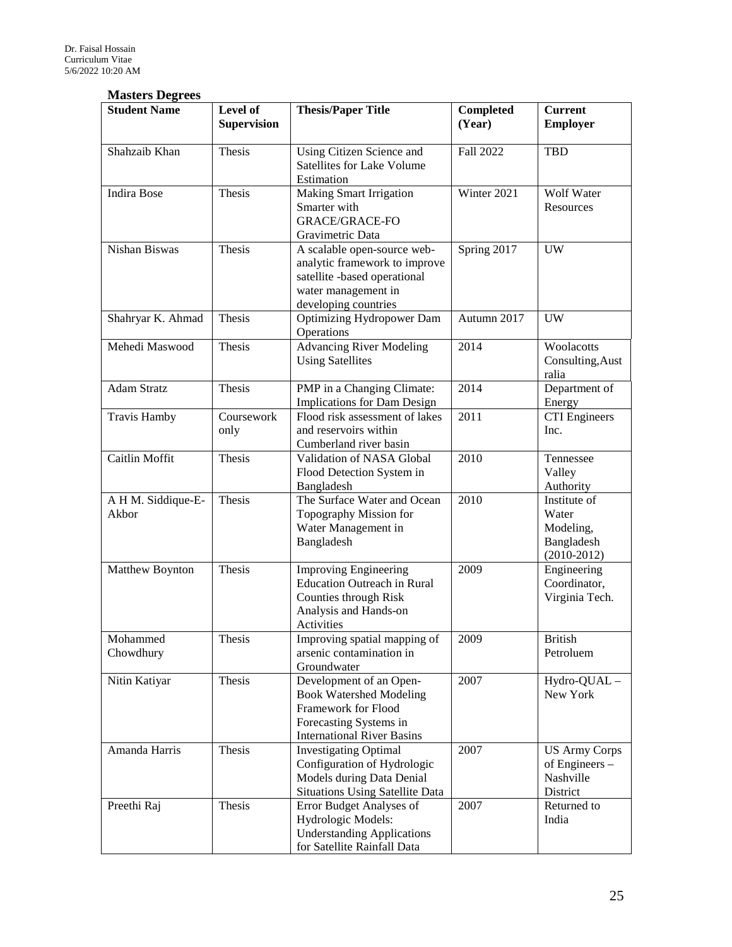### **Masters Degrees**

| <b>Student Name</b>         | Level of<br><b>Supervision</b> | <b>Thesis/Paper Title</b>                                                                                                                       | <b>Completed</b><br>(Year) | <b>Current</b><br><b>Employer</b>                                 |
|-----------------------------|--------------------------------|-------------------------------------------------------------------------------------------------------------------------------------------------|----------------------------|-------------------------------------------------------------------|
| Shahzaib Khan               | Thesis                         | Using Citizen Science and<br><b>Satellites for Lake Volume</b><br>Estimation                                                                    | Fall 2022                  | <b>TBD</b>                                                        |
| <b>Indira Bose</b>          | Thesis                         | <b>Making Smart Irrigation</b><br>Smarter with<br><b>GRACE/GRACE-FO</b><br>Gravimetric Data                                                     | Winter 2021                | Wolf Water<br>Resources                                           |
| Nishan Biswas               | Thesis                         | A scalable open-source web-<br>analytic framework to improve<br>satellite -based operational<br>water management in<br>developing countries     | Spring 2017                | <b>UW</b>                                                         |
| Shahryar K. Ahmad           | Thesis                         | <b>Optimizing Hydropower Dam</b><br>Operations                                                                                                  | Autumn 2017                | <b>UW</b>                                                         |
| Mehedi Maswood              | Thesis                         | <b>Advancing River Modeling</b><br><b>Using Satellites</b>                                                                                      | 2014                       | Woolacotts<br>Consulting, Aust<br>ralia                           |
| <b>Adam Stratz</b>          | Thesis                         | PMP in a Changing Climate:<br>Implications for Dam Design                                                                                       | 2014                       | Department of<br>Energy                                           |
| <b>Travis Hamby</b>         | Coursework<br>only             | Flood risk assessment of lakes<br>and reservoirs within<br>Cumberland river basin                                                               | 2011                       | <b>CTI</b> Engineers<br>Inc.                                      |
| Caitlin Moffit              | Thesis                         | Validation of NASA Global<br>Flood Detection System in<br>Bangladesh                                                                            | 2010                       | Tennessee<br>Valley<br>Authority                                  |
| A H M. Siddique-E-<br>Akbor | Thesis                         | The Surface Water and Ocean<br>Topography Mission for<br>Water Management in<br>Bangladesh                                                      | 2010                       | Institute of<br>Water<br>Modeling,<br>Bangladesh<br>$(2010-2012)$ |
| Matthew Boynton             | Thesis                         | <b>Improving Engineering</b><br><b>Education Outreach in Rural</b><br>Counties through Risk<br>Analysis and Hands-on<br>Activities              | 2009                       | Engineering<br>Coordinator,<br>Virginia Tech.                     |
| Mohammed<br>Chowdhury       | Thesis                         | Improving spatial mapping of<br>arsenic contamination in<br>Groundwater                                                                         | 2009                       | <b>British</b><br>Petroluem                                       |
| Nitin Katiyar               | Thesis                         | Development of an Open-<br><b>Book Watershed Modeling</b><br>Framework for Flood<br>Forecasting Systems in<br><b>International River Basins</b> | 2007                       | Hydro-QUAL-<br>New York                                           |
| Amanda Harris               | Thesis                         | <b>Investigating Optimal</b><br>Configuration of Hydrologic<br>Models during Data Denial<br><b>Situations Using Satellite Data</b>              | 2007                       | <b>US Army Corps</b><br>of Engineers -<br>Nashville<br>District   |
| Preethi Raj                 | Thesis                         | Error Budget Analyses of<br>Hydrologic Models:<br><b>Understanding Applications</b><br>for Satellite Rainfall Data                              | 2007                       | Returned to<br>India                                              |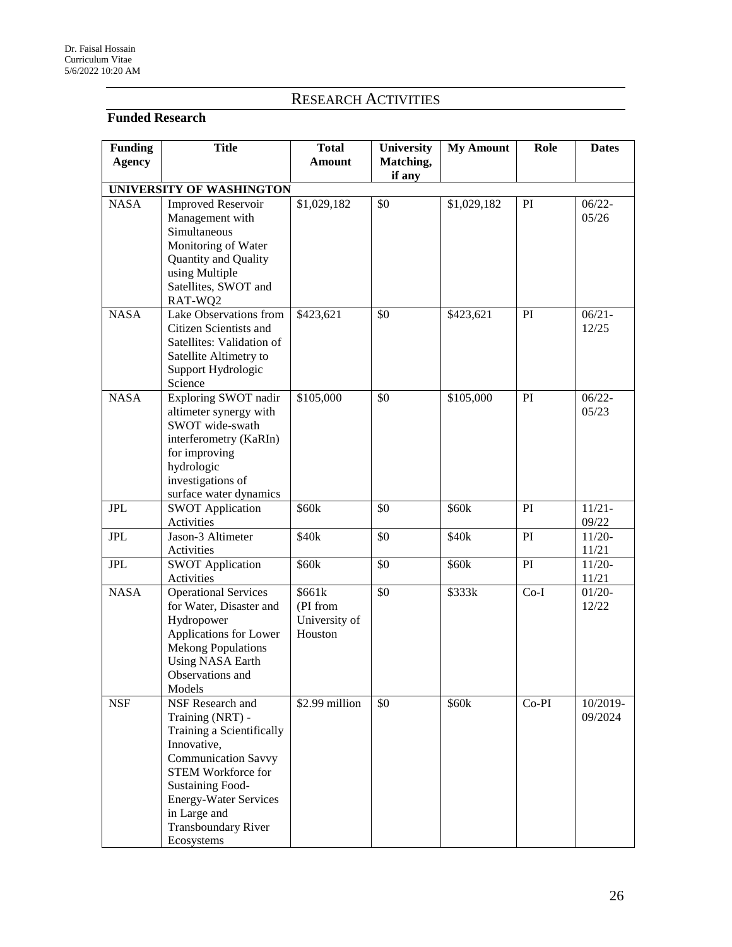# RESEARCH ACTIVITIES

# **Funded Research**

| <b>Funding</b> | <b>Title</b>                                                                                                                                                                                                                                         | <b>Total</b>                                   | University | <b>My Amount</b> | Role    | <b>Dates</b>        |
|----------------|------------------------------------------------------------------------------------------------------------------------------------------------------------------------------------------------------------------------------------------------------|------------------------------------------------|------------|------------------|---------|---------------------|
| <b>Agency</b>  |                                                                                                                                                                                                                                                      | <b>Amount</b>                                  | Matching,  |                  |         |                     |
|                |                                                                                                                                                                                                                                                      |                                                | if any     |                  |         |                     |
|                | UNIVERSITY OF WASHINGTON                                                                                                                                                                                                                             |                                                |            |                  |         |                     |
| <b>NASA</b>    | <b>Improved Reservoir</b><br>Management with<br>Simultaneous<br>Monitoring of Water<br>Quantity and Quality<br>using Multiple<br>Satellites, SWOT and<br>RAT-WQ2                                                                                     | \$1,029,182                                    | \$0        | \$1,029,182      | PI      | $06/22 -$<br>05/26  |
| <b>NASA</b>    | Lake Observations from<br>Citizen Scientists and<br>Satellites: Validation of<br>Satellite Altimetry to<br>Support Hydrologic<br>Science                                                                                                             | \$423,621                                      | \$0        | \$423,621        | PI      | $06/21 -$<br>12/25  |
| <b>NASA</b>    | Exploring SWOT nadir<br>altimeter synergy with<br>SWOT wide-swath<br>interferometry (KaRIn)<br>for improving<br>hydrologic<br>investigations of<br>surface water dynamics                                                                            | \$105,000                                      | \$0        | \$105,000        | PI      | $06/22 -$<br>05/23  |
| <b>JPL</b>     | <b>SWOT Application</b><br>Activities                                                                                                                                                                                                                | \$60k                                          | \$0        | \$60k            | PI      | $11/21 -$<br>09/22  |
| ${\rm JPL}$    | Jason-3 Altimeter<br>Activities                                                                                                                                                                                                                      | \$40k                                          | \$0        | \$40k            | PI      | $11/20-$<br>11/21   |
| <b>JPL</b>     | <b>SWOT Application</b><br>Activities                                                                                                                                                                                                                | \$60k                                          | \$0        | \$60k            | PI      | $11/20-$<br>11/21   |
| <b>NASA</b>    | <b>Operational Services</b><br>for Water, Disaster and<br>Hydropower<br>Applications for Lower<br><b>Mekong Populations</b><br><b>Using NASA Earth</b><br>Observations and<br>Models                                                                 | \$661k<br>(PI from<br>University of<br>Houston | \$0        | \$333k           | $Co-I$  | $01/20-$<br>12/22   |
| <b>NSF</b>     | NSF Research and<br>Training (NRT) -<br>Training a Scientifically<br>Innovative,<br><b>Communication Savvy</b><br>STEM Workforce for<br><b>Sustaining Food-</b><br>Energy-Water Services<br>in Large and<br><b>Transboundary River</b><br>Ecosystems | \$2.99 million                                 | \$0        | \$60k            | $Co-PI$ | 10/2019-<br>09/2024 |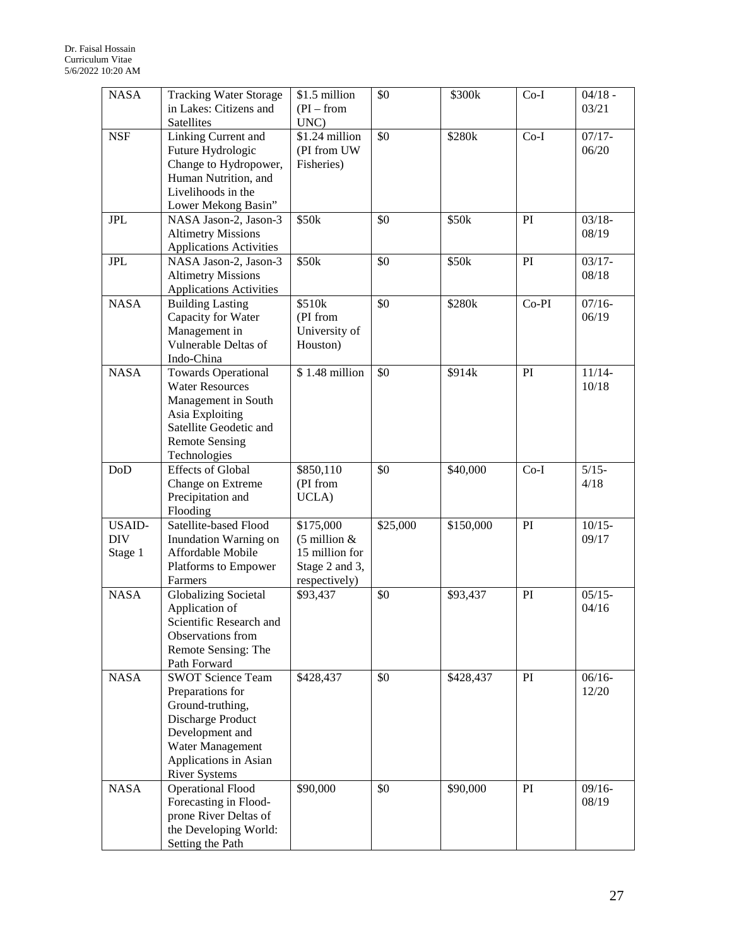| <b>NASA</b>                            | <b>Tracking Water Storage</b><br>in Lakes: Citizens and<br>Satellites                                                                                                         | \$1.5 million<br>$(PI - from$<br>UNC)                                                      | \$0      | \$300k    | $Co-I$ | $04/18 -$<br>03/21 |
|----------------------------------------|-------------------------------------------------------------------------------------------------------------------------------------------------------------------------------|--------------------------------------------------------------------------------------------|----------|-----------|--------|--------------------|
| <b>NSF</b>                             | Linking Current and<br>Future Hydrologic<br>Change to Hydropower,<br>Human Nutrition, and<br>Livelihoods in the<br>Lower Mekong Basin"                                        | $$1.24$ million<br>(PI from UW<br>Fisheries)                                               | \$0      | \$280k    | $Co-I$ | $07/17 -$<br>06/20 |
| <b>JPL</b>                             | NASA Jason-2, Jason-3<br><b>Altimetry Missions</b><br><b>Applications Activities</b>                                                                                          | \$50k                                                                                      | \$0      | \$50k     | PI     | $03/18 -$<br>08/19 |
| <b>JPL</b>                             | NASA Jason-2, Jason-3<br><b>Altimetry Missions</b><br><b>Applications Activities</b>                                                                                          | \$50k                                                                                      | \$0      | \$50k     | PI     | $03/17 -$<br>08/18 |
| <b>NASA</b>                            | <b>Building Lasting</b><br>Capacity for Water<br>Management in<br>Vulnerable Deltas of<br>Indo-China                                                                          | \$510k<br>(PI from<br>University of<br>Houston)                                            | \$0      | \$280k    | Co-PI  | $07/16 -$<br>06/19 |
| <b>NASA</b>                            | <b>Towards Operational</b><br><b>Water Resources</b><br>Management in South<br>Asia Exploiting<br>Satellite Geodetic and<br><b>Remote Sensing</b><br>Technologies             | \$1.48 million                                                                             | \$0      | \$914k    | PI     | $11/14-$<br>10/18  |
| $\mathrm{DoD}$                         | <b>Effects of Global</b><br>Change on Extreme<br>Precipitation and<br>Flooding                                                                                                | \$850,110<br>(PI from<br>UCLA)                                                             | \$0      | \$40,000  | $Co-I$ | $5/15-$<br>4/18    |
| <b>USAID-</b><br><b>DIV</b><br>Stage 1 | Satellite-based Flood<br>Inundation Warning on<br>Affordable Mobile<br>Platforms to Empower<br>Farmers                                                                        | \$175,000<br>$(5 \text{ million } 8)$<br>15 million for<br>Stage 2 and 3,<br>respectively) | \$25,000 | \$150,000 | PI     | $10/15 -$<br>09/17 |
| <b>NASA</b>                            | <b>Globalizing Societal</b><br>Application of<br>Scientific Research and<br>Observations from<br>Remote Sensing: The<br>Path Forward                                          | \$93,437                                                                                   | \$0      | \$93,437  | PI     | $05/15 -$<br>04/16 |
| <b>NASA</b>                            | <b>SWOT Science Team</b><br>Preparations for<br>Ground-truthing,<br>Discharge Product<br>Development and<br>Water Management<br>Applications in Asian<br><b>River Systems</b> | \$428,437                                                                                  | \$0      | \$428,437 | PI     | $06/16 -$<br>12/20 |
| <b>NASA</b>                            | <b>Operational Flood</b><br>Forecasting in Flood-<br>prone River Deltas of<br>the Developing World:<br>Setting the Path                                                       | \$90,000                                                                                   | \$0      | \$90,000  | PI     | $09/16 -$<br>08/19 |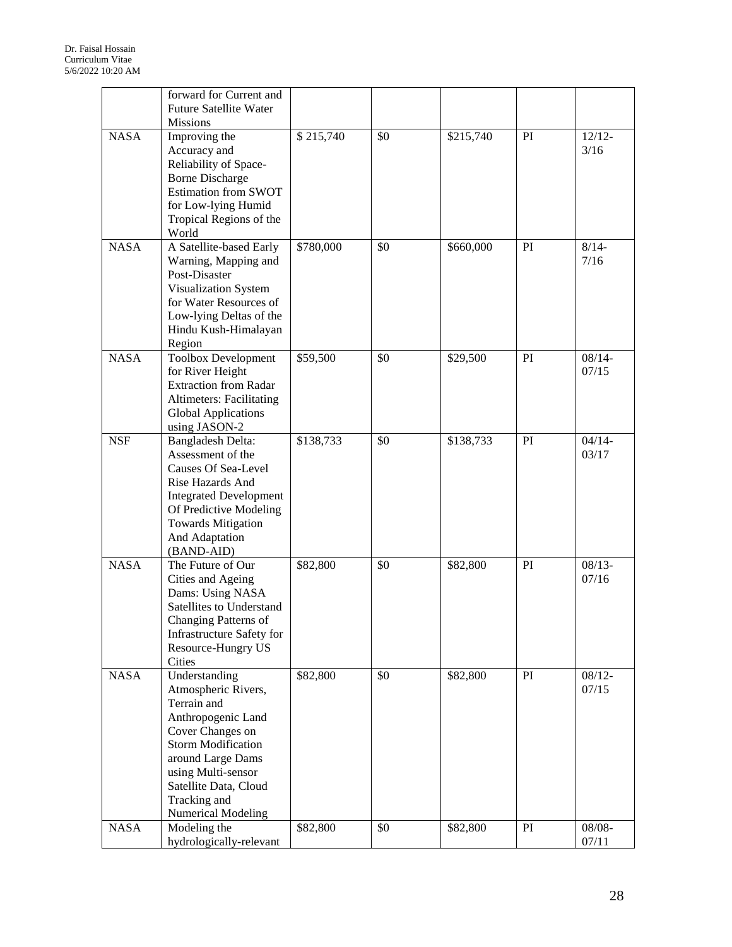|             | forward for Current and<br><b>Future Satellite Water</b><br><b>Missions</b>                                                                                                                                                                 |           |     |           |    |                    |
|-------------|---------------------------------------------------------------------------------------------------------------------------------------------------------------------------------------------------------------------------------------------|-----------|-----|-----------|----|--------------------|
| <b>NASA</b> | Improving the<br>Accuracy and<br>Reliability of Space-<br><b>Borne Discharge</b><br><b>Estimation from SWOT</b><br>for Low-lying Humid<br>Tropical Regions of the<br>World                                                                  | \$215,740 | \$0 | \$215,740 | PI | $12/12-$<br>3/16   |
| <b>NASA</b> | A Satellite-based Early<br>Warning, Mapping and<br>Post-Disaster<br>Visualization System<br>for Water Resources of<br>Low-lying Deltas of the<br>Hindu Kush-Himalayan<br>Region                                                             | \$780,000 | \$0 | \$660,000 | PI | $8/14 -$<br>7/16   |
| <b>NASA</b> | Toolbox Development<br>for River Height<br><b>Extraction from Radar</b><br><b>Altimeters: Facilitating</b><br><b>Global Applications</b><br>using JASON-2                                                                                   | \$59,500  | \$0 | \$29,500  | PI | $08/14 -$<br>07/15 |
| <b>NSF</b>  | Bangladesh Delta:<br>Assessment of the<br><b>Causes Of Sea-Level</b><br>Rise Hazards And<br><b>Integrated Development</b><br>Of Predictive Modeling<br><b>Towards Mitigation</b><br>And Adaptation<br>(BAND-AID)                            | \$138,733 | \$0 | \$138,733 | PI | $04/14-$<br>03/17  |
| <b>NASA</b> | The Future of Our<br>Cities and Ageing<br>Dams: Using NASA<br>Satellites to Understand<br>Changing Patterns of<br>Infrastructure Safety for<br>Resource-Hungry US<br>Cities                                                                 | \$82,800  | \$0 | \$82,800  | PI | $08/13 -$<br>07/16 |
| <b>NASA</b> | Understanding<br>Atmospheric Rivers,<br>Terrain and<br>Anthropogenic Land<br>Cover Changes on<br><b>Storm Modification</b><br>around Large Dams<br>using Multi-sensor<br>Satellite Data, Cloud<br>Tracking and<br><b>Numerical Modeling</b> | \$82,800  | \$0 | \$82,800  | PI | $08/12 -$<br>07/15 |
| <b>NASA</b> | Modeling the<br>hydrologically-relevant                                                                                                                                                                                                     | \$82,800  | \$0 | \$82,800  | PI | $08/08 -$<br>07/11 |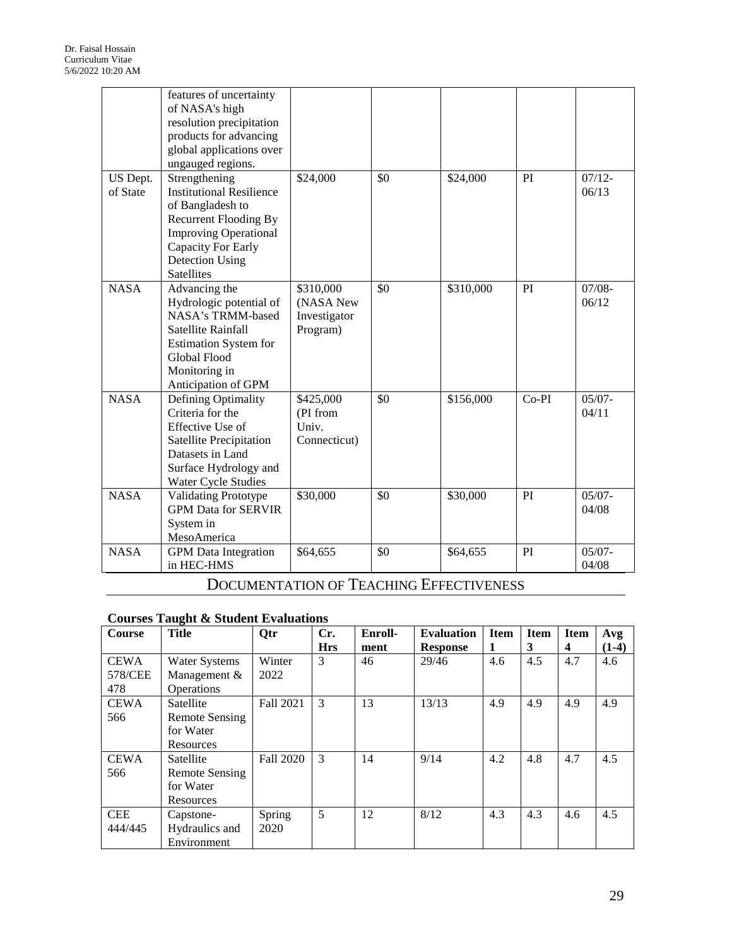|                      | features of uncertainty<br>of NASA's high<br>resolution precipitation<br>products for advancing<br>global applications over<br>ungauged regions.                                                                 |                                                    |     |           |         |                    |
|----------------------|------------------------------------------------------------------------------------------------------------------------------------------------------------------------------------------------------------------|----------------------------------------------------|-----|-----------|---------|--------------------|
| US Dept.<br>of State | Strengthening<br><b>Institutional Resilience</b><br>of Bangladesh to<br><b>Recurrent Flooding By</b><br><b>Improving Operational</b><br><b>Capacity For Early</b><br><b>Detection Using</b><br><b>Satellites</b> | \$24,000                                           | \$0 | \$24,000  | PI      | $07/12 -$<br>06/13 |
| <b>NASA</b>          | Advancing the<br>Hydrologic potential of<br>NASA's TRMM-based<br>Satellite Rainfall<br><b>Estimation System for</b><br>Global Flood<br>Monitoring in<br>Anticipation of GPM                                      | \$310,000<br>(NASA New<br>Investigator<br>Program) | \$0 | \$310,000 | PI      | $07/08 -$<br>06/12 |
| <b>NASA</b>          | Defining Optimality<br>Criteria for the<br>Effective Use of<br><b>Satellite Precipitation</b><br>Datasets in Land<br>Surface Hydrology and<br>Water Cycle Studies                                                | \$425,000<br>(PI from<br>Univ.<br>Connecticut)     | \$0 | \$156,000 | $Co-PI$ | $05/07 -$<br>04/11 |
| <b>NASA</b>          | <b>Validating Prototype</b><br><b>GPM Data for SERVIR</b><br>System in<br>MesoAmerica                                                                                                                            | \$30,000                                           | \$0 | \$30,000  | PI      | $05/07 -$<br>04/08 |
| <b>NASA</b>          | <b>GPM</b> Data Integration<br>in HEC-HMS                                                                                                                                                                        | \$64,655                                           | \$0 | \$64,655  | PI      | $05/07 -$<br>04/08 |

# DOCUMENTATION OF TEACHING EFFECTIVENESS

### **Courses Taught & Student Evaluations**

| Course                        | <b>Title</b>                                              | Qtr              | Cr.<br><b>Hrs</b> | Enroll-<br>ment | <b>Evaluation</b><br><b>Response</b> | <b>Item</b><br>1 | <b>Item</b><br>3 | <b>Item</b><br>$\overline{\mathbf{4}}$ | Avg<br>$(1-4)$ |
|-------------------------------|-----------------------------------------------------------|------------------|-------------------|-----------------|--------------------------------------|------------------|------------------|----------------------------------------|----------------|
| <b>CEWA</b><br>578/CEE<br>478 | <b>Water Systems</b><br>Management &<br><b>Operations</b> | Winter<br>2022   | 3                 | 46              | 29/46                                | 4.6              | 4.5              | 4.7                                    | 4.6            |
| <b>CEWA</b><br>566            | Satellite<br>Remote Sensing<br>for Water<br>Resources     | Fall 2021        | $\mathcal{E}$     | 13              | 13/13                                | 4.9              | 4.9              | 4.9                                    | 4.9            |
| <b>CEWA</b><br>566            | Satellite<br>Remote Sensing<br>for Water<br>Resources     | <b>Fall 2020</b> | 3                 | 14              | 9/14                                 | 4.2              | 4.8              | 4.7                                    | 4.5            |
| <b>CEE</b><br>444/445         | Capstone-<br>Hydraulics and<br>Environment                | Spring<br>2020   | 5                 | 12              | 8/12                                 | 4.3              | 4.3              | 4.6                                    | 4.5            |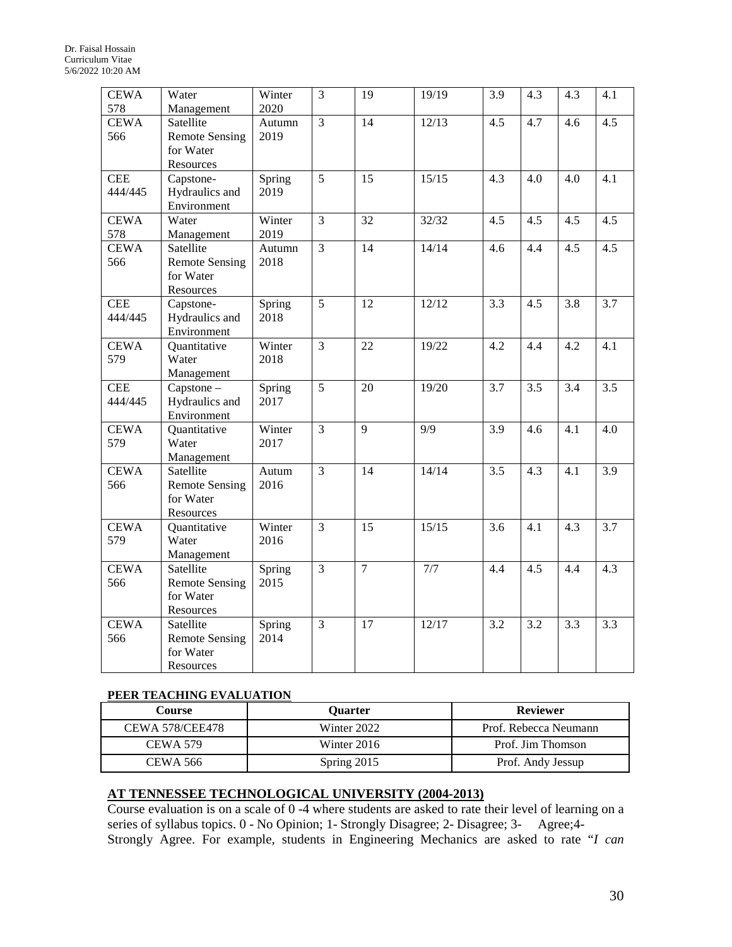| <b>CEWA</b><br>578    | Water<br>Management                                          | Winter<br>2020 | $\overline{3}$ | 19              | 19/19 | $\overline{3.9}$ | 4.3 | 4.3 | 4.1 |
|-----------------------|--------------------------------------------------------------|----------------|----------------|-----------------|-------|------------------|-----|-----|-----|
| <b>CEWA</b><br>566    | Satellite<br><b>Remote Sensing</b><br>for Water<br>Resources | Autumn<br>2019 | $\overline{3}$ | 14              | 12/13 | 4.5              | 4.7 | 4.6 | 4.5 |
| <b>CEE</b><br>444/445 | Capstone-<br>Hydraulics and<br>Environment                   | Spring<br>2019 | $\overline{5}$ | $\overline{15}$ | 15/15 | 4.3              | 4.0 | 4.0 | 4.1 |
| <b>CEWA</b><br>578    | Water<br>Management                                          | Winter<br>2019 | $\overline{3}$ | 32              | 32/32 | 4.5              | 4.5 | 4.5 | 4.5 |
| <b>CEWA</b><br>566    | Satellite<br><b>Remote Sensing</b><br>for Water<br>Resources | Autumn<br>2018 | $\overline{3}$ | 14              | 14/14 | 4.6              | 4.4 | 4.5 | 4.5 |
| <b>CEE</b><br>444/445 | Capstone-<br>Hydraulics and<br>Environment                   | Spring<br>2018 | 5              | 12              | 12/12 | 3.3              | 4.5 | 3.8 | 3.7 |
| <b>CEWA</b><br>579    | Quantitative<br>Water<br>Management                          | Winter<br>2018 | $\overline{3}$ | 22              | 19/22 | 4.2              | 4.4 | 4.2 | 4.1 |
| <b>CEE</b><br>444/445 | Capstone -<br>Hydraulics and<br>Environment                  | Spring<br>2017 | 5              | 20              | 19/20 | 3.7              | 3.5 | 3.4 | 3.5 |
| <b>CEWA</b><br>579    | Quantitative<br>Water<br>Management                          | Winter<br>2017 | $\overline{3}$ | 9               | 9/9   | 3.9              | 4.6 | 4.1 | 4.0 |
| <b>CEWA</b><br>566    | Satellite<br><b>Remote Sensing</b><br>for Water<br>Resources | Autum<br>2016  | $\overline{3}$ | 14              | 14/14 | 3.5              | 4.3 | 4.1 | 3.9 |
| <b>CEWA</b><br>579    | Quantitative<br>Water<br>Management                          | Winter<br>2016 | $\overline{3}$ | $\overline{15}$ | 15/15 | 3.6              | 4.1 | 4.3 | 3.7 |
| <b>CEWA</b><br>566    | Satellite<br><b>Remote Sensing</b><br>for Water<br>Resources | Spring<br>2015 | $\overline{3}$ | $\overline{7}$  | 7/7   | 4.4              | 4.5 | 4.4 | 4.3 |
| <b>CEWA</b><br>566    | Satellite<br><b>Remote Sensing</b><br>for Water<br>Resources | Spring<br>2014 | $\overline{3}$ | 17              | 12/17 | 3.2              | 3.2 | 3.3 | 3.3 |

### **PEER TEACHING EVALUATION**

| Course                 | Ouarter       | <b>Reviewer</b>       |
|------------------------|---------------|-----------------------|
| <b>CEWA 578/CEE478</b> | Winter 2022   | Prof. Rebecca Neumann |
| <b>CEWA 579</b>        | Winter $2016$ | Prof. Jim Thomson     |
| CEWA 566               | Spring 2015   | Prof. Andy Jessup     |

## **AT TENNESSEE TECHNOLOGICAL UNIVERSITY (2004-2013)**

Course evaluation is on a scale of 0 -4 where students are asked to rate their level of learning on a series of syllabus topics. 0 - No Opinion; 1- Strongly Disagree; 2- Disagree; 3- Agree;4- Strongly Agree. For example, students in Engineering Mechanics are asked to rate "*I can*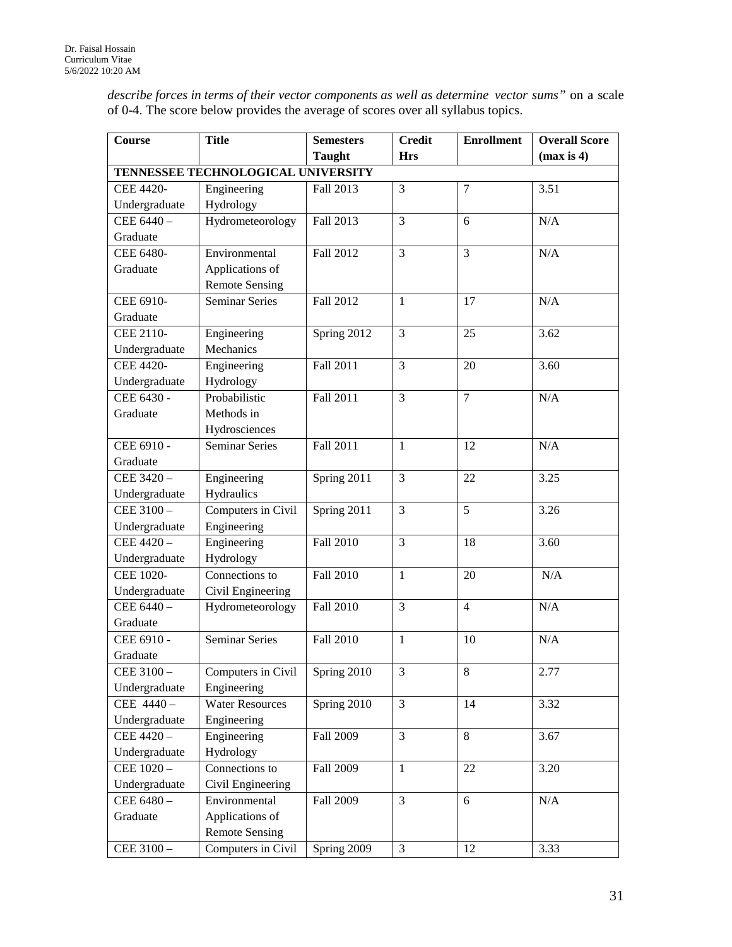*describe forces in terms of their vector components as well as determine vector sums"* on a scale of 0-4. The score below provides the average of scores over all syllabus topics.

| Course           | <b>Title</b>                       | <b>Semesters</b> | <b>Credit</b>  | <b>Enrollment</b> | <b>Overall Score</b> |
|------------------|------------------------------------|------------------|----------------|-------------------|----------------------|
|                  |                                    | <b>Taught</b>    | <b>Hrs</b>     |                   | (max is 4)           |
|                  | TENNESSEE TECHNOLOGICAL UNIVERSITY |                  |                |                   |                      |
| <b>CEE 4420-</b> | Engineering                        | Fall 2013        | 3              | $\overline{7}$    | 3.51                 |
| Undergraduate    | Hydrology                          |                  |                |                   |                      |
| CEE 6440-        | Hydrometeorology                   | Fall 2013        | 3              | 6                 | N/A                  |
| Graduate         |                                    |                  |                |                   |                      |
| CEE 6480-        | Environmental                      | Fall 2012        | $\overline{3}$ | 3                 | N/A                  |
| Graduate         | Applications of                    |                  |                |                   |                      |
|                  | <b>Remote Sensing</b>              |                  |                |                   |                      |
| CEE 6910-        | <b>Seminar Series</b>              | Fall 2012        | $\mathbf{1}$   | 17                | N/A                  |
| Graduate         |                                    |                  |                |                   |                      |
| CEE 2110-        | Engineering                        | Spring 2012      | 3              | 25                | 3.62                 |
| Undergraduate    | Mechanics                          |                  |                |                   |                      |
| <b>CEE 4420-</b> | Engineering                        | Fall 2011        | 3              | 20                | 3.60                 |
| Undergraduate    | Hydrology                          |                  |                |                   |                      |
| CEE 6430 -       | Probabilistic                      | Fall 2011        | 3              | $\overline{7}$    | N/A                  |
| Graduate         | Methods in                         |                  |                |                   |                      |
|                  | Hydrosciences                      |                  |                |                   |                      |
| CEE 6910 -       | Seminar Series                     | Fall 2011        | $\mathbf{1}$   | 12                | N/A                  |
| Graduate         |                                    |                  |                |                   |                      |
| CEE 3420-        | Engineering                        | Spring 2011      | 3              | 22                | 3.25                 |
| Undergraduate    | Hydraulics                         |                  |                |                   |                      |
| CEE 3100 -       | Computers in Civil                 | Spring 2011      | $\overline{3}$ | $\overline{5}$    | 3.26                 |
| Undergraduate    | Engineering                        |                  |                |                   |                      |
| CEE 4420-        | Engineering                        | <b>Fall 2010</b> | 3              | 18                | 3.60                 |
| Undergraduate    | Hydrology                          |                  |                |                   |                      |
| <b>CEE 1020-</b> | Connections to                     | <b>Fall 2010</b> | $\mathbf{1}$   | 20                | N/A                  |
| Undergraduate    | Civil Engineering                  |                  |                |                   |                      |
| CEE 6440-        | Hydrometeorology                   | Fall 2010        | 3              | $\overline{4}$    | N/A                  |
| Graduate         |                                    |                  |                |                   |                      |
| CEE 6910 -       | <b>Seminar Series</b>              | Fall 2010        | $\mathbf{1}$   | 10                | N/A                  |
| Graduate         |                                    |                  |                |                   |                      |
| CEE 3100 -       | Computers in Civil                 | Spring 2010      | 3              | 8                 | 2.77                 |
| Undergraduate    | Engineering                        |                  |                |                   |                      |
| CEE 4440-        | <b>Water Resources</b>             | Spring 2010      | 3              | 14                | 3.32                 |
| Undergraduate    | Engineering                        |                  |                |                   |                      |
| CEE 4420-        | Engineering                        | Fall 2009        | 3              | 8                 | 3.67                 |
| Undergraduate    | Hydrology                          |                  |                |                   |                      |
| CEE 1020-        | Connections to                     | Fall 2009        | $\mathbf{1}$   | 22                | 3.20                 |
| Undergraduate    | Civil Engineering                  |                  |                |                   |                      |
| CEE 6480-        | Environmental                      | <b>Fall 2009</b> | 3              | 6                 | N/A                  |
| Graduate         | Applications of                    |                  |                |                   |                      |
|                  | <b>Remote Sensing</b>              |                  |                |                   |                      |
| CEE 3100-        | Computers in Civil                 | Spring 2009      | $\overline{3}$ | 12                | 3.33                 |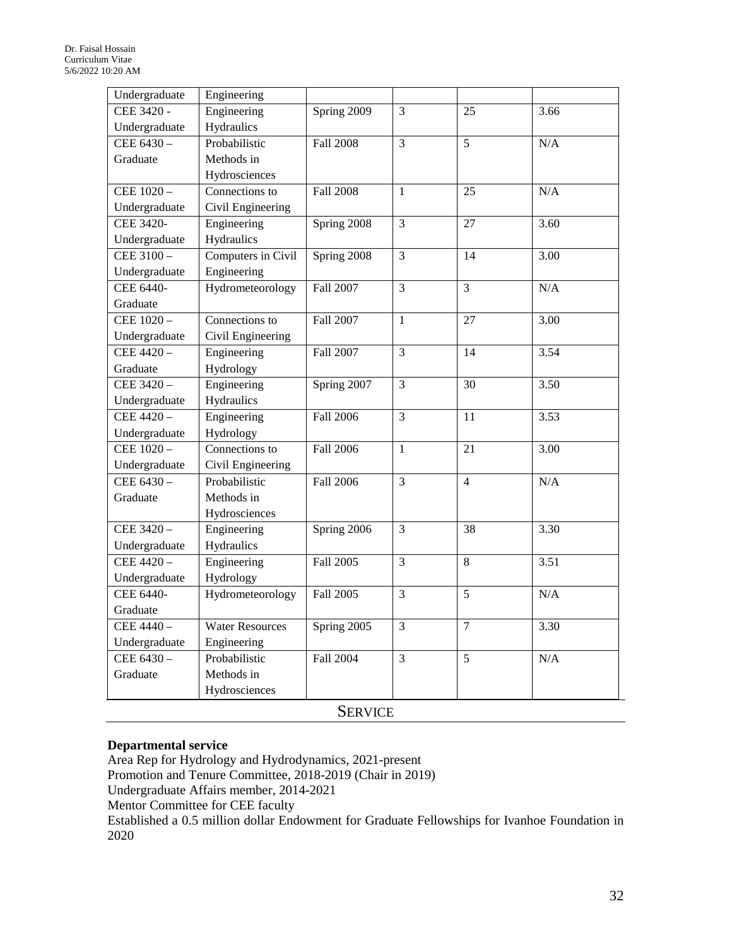| Undergraduate    | Engineering            |                  |                |                 |      |
|------------------|------------------------|------------------|----------------|-----------------|------|
| CEE 3420 -       | Engineering            | Spring 2009      | 3              | 25              | 3.66 |
| Undergraduate    | Hydraulics             |                  |                |                 |      |
| CEE 6430-        | Probabilistic          | <b>Fall 2008</b> | 3              | 5               | N/A  |
| Graduate         | Methods in             |                  |                |                 |      |
|                  | Hydrosciences          |                  |                |                 |      |
| CEE 1020-        | Connections to         | <b>Fall 2008</b> | 1              | 25              | N/A  |
| Undergraduate    | Civil Engineering      |                  |                |                 |      |
| <b>CEE 3420-</b> | Engineering            | Spring 2008      | 3              | 27              | 3.60 |
| Undergraduate    | Hydraulics             |                  |                |                 |      |
| CEE 3100-        | Computers in Civil     | Spring 2008      | 3              | 14              | 3.00 |
| Undergraduate    | Engineering            |                  |                |                 |      |
| <b>CEE 6440-</b> | Hydrometeorology       | <b>Fall 2007</b> | 3              | $\overline{3}$  | N/A  |
| Graduate         |                        |                  |                |                 |      |
| CEE 1020-        | Connections to         | Fall 2007        | $\mathbf{1}$   | 27              | 3.00 |
| Undergraduate    | Civil Engineering      |                  |                |                 |      |
| CEE 4420-        | Engineering            | Fall 2007        | $\overline{3}$ | 14              | 3.54 |
| Graduate         | Hydrology              |                  |                |                 |      |
| CEE 3420-        | Engineering            | Spring 2007      | 3              | $\overline{30}$ | 3.50 |
| Undergraduate    | Hydraulics             |                  |                |                 |      |
| CEE 4420-        | Engineering            | <b>Fall 2006</b> | $\overline{3}$ | 11              | 3.53 |
| Undergraduate    | Hydrology              |                  |                |                 |      |
| CEE $1020 -$     | Connections to         | <b>Fall 2006</b> | $\mathbf{1}$   | 21              | 3.00 |
| Undergraduate    | Civil Engineering      |                  |                |                 |      |
| CEE 6430-        | Probabilistic          | <b>Fall 2006</b> | 3              | $\overline{4}$  | N/A  |
| Graduate         | Methods in             |                  |                |                 |      |
|                  | Hydrosciences          |                  |                |                 |      |
| CEE 3420-        | Engineering            | Spring 2006      | 3              | 38              | 3.30 |
| Undergraduate    | Hydraulics             |                  |                |                 |      |
| CEE 4420-        | Engineering            | Fall 2005        | 3              | 8               | 3.51 |
| Undergraduate    | Hydrology              |                  |                |                 |      |
| CEE 6440-        | Hydrometeorology       | Fall 2005        | $\overline{3}$ | $\overline{5}$  | N/A  |
| Graduate         |                        |                  |                |                 |      |
| CEE 4440-        | <b>Water Resources</b> | Spring 2005      | 3              | $\overline{7}$  | 3.30 |
| Undergraduate    | Engineering            |                  |                |                 |      |
| CEE 6430-        | Probabilistic          | <b>Fall 2004</b> | 3              | 5               | N/A  |
| Graduate         | Methods in             |                  |                |                 |      |
|                  | Hydrosciences          |                  |                |                 |      |
|                  |                        | $C_{\text{P0}1U$ |                |                 |      |

### SERVICE

### **Departmental service**

Area Rep for Hydrology and Hydrodynamics, 2021-present Promotion and Tenure Committee, 2018-2019 (Chair in 2019) Undergraduate Affairs member, 2014-2021 Mentor Committee for CEE faculty Established a 0.5 million dollar Endowment for Graduate Fellowships for Ivanhoe Foundation in 2020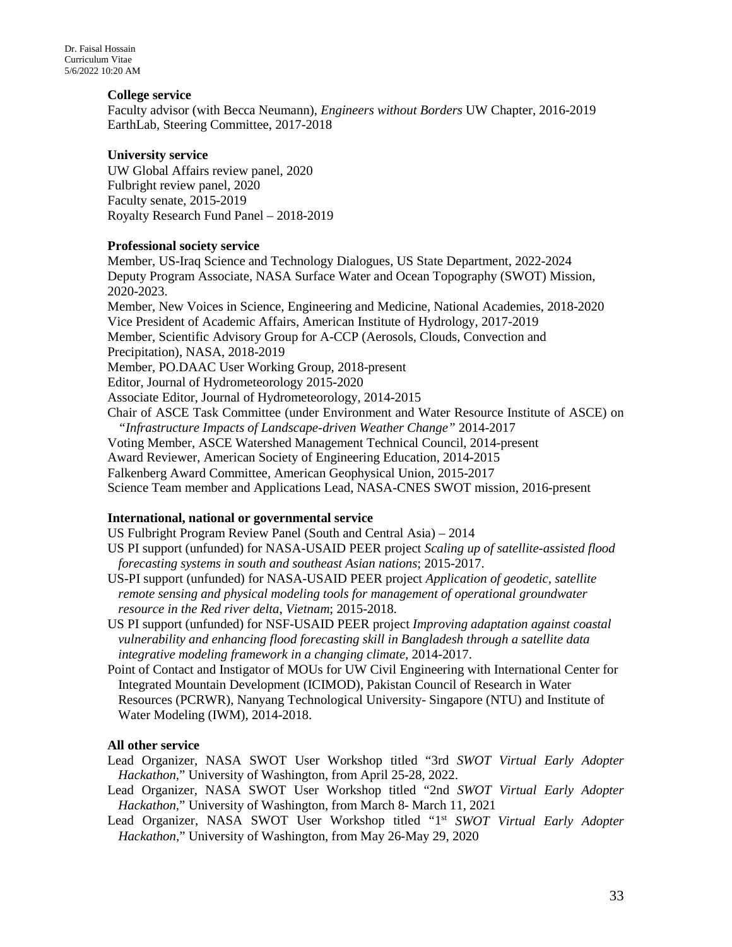### **College service**

Faculty advisor (with Becca Neumann), *Engineers without Borders* UW Chapter, 2016-2019 EarthLab, Steering Committee, 2017-2018

#### **University service**

UW Global Affairs review panel, 2020 Fulbright review panel, 2020 Faculty senate, 2015-2019 Royalty Research Fund Panel – 2018-2019

### **Professional society service**

Member, US-Iraq Science and Technology Dialogues, US State Department, 2022-2024 Deputy Program Associate, NASA Surface Water and Ocean Topography (SWOT) Mission, 2020-2023. Member, New Voices in Science, Engineering and Medicine, National Academies, 2018-2020 Vice President of Academic Affairs, American Institute of Hydrology, 2017-2019 Member, Scientific Advisory Group for A-CCP (Aerosols, Clouds, Convection and Precipitation), NASA, 2018-2019 Member, PO.DAAC User Working Group, 2018-present Editor, Journal of Hydrometeorology 2015-2020 Associate Editor, Journal of Hydrometeorology, 2014-2015 Chair of ASCE Task Committee (under Environment and Water Resource Institute of ASCE) on *"Infrastructure Impacts of Landscape-driven Weather Change"* 2014-2017 Voting Member, ASCE Watershed Management Technical Council, 2014-present Award Reviewer, American Society of Engineering Education, 2014-2015 Falkenberg Award Committee, American Geophysical Union, 2015-2017 Science Team member and Applications Lead, NASA-CNES SWOT mission, 2016-present

### **International, national or governmental service**

US Fulbright Program Review Panel (South and Central Asia) – 2014

- US PI support (unfunded) for NASA-USAID PEER project *Scaling up of satellite-assisted flood forecasting systems in south and southeast Asian nations*; 2015-2017.
- US-PI support (unfunded) for NASA-USAID PEER project *Application of geodetic, satellite remote sensing and physical modeling tools for management of operational groundwater resource in the Red river delta*, *Vietnam*; 2015-2018.
- US PI support (unfunded) for NSF-USAID PEER project *Improving adaptation against coastal vulnerability and enhancing flood forecasting skill in Bangladesh through a satellite data integrative modeling framework in a changing climate,* 2014-2017.
- Point of Contact and Instigator of MOUs for UW Civil Engineering with International Center for Integrated Mountain Development (ICIMOD), Pakistan Council of Research in Water Resources (PCRWR), Nanyang Technological University- Singapore (NTU) and Institute of Water Modeling (IWM), 2014-2018.

### **All other service**

- Lead Organizer, NASA SWOT User Workshop titled "3rd *SWOT Virtual Early Adopter Hackathon,*" University of Washington, from April 25-28, 2022.
- Lead Organizer, NASA SWOT User Workshop titled "2nd *SWOT Virtual Early Adopter Hackathon,*" University of Washington, from March 8- March 11, 2021
- Lead Organizer, NASA SWOT User Workshop titled "1<sup>st</sup> *SWOT Virtual Early Adopter Hackathon,*" University of Washington, from May 26-May 29, 2020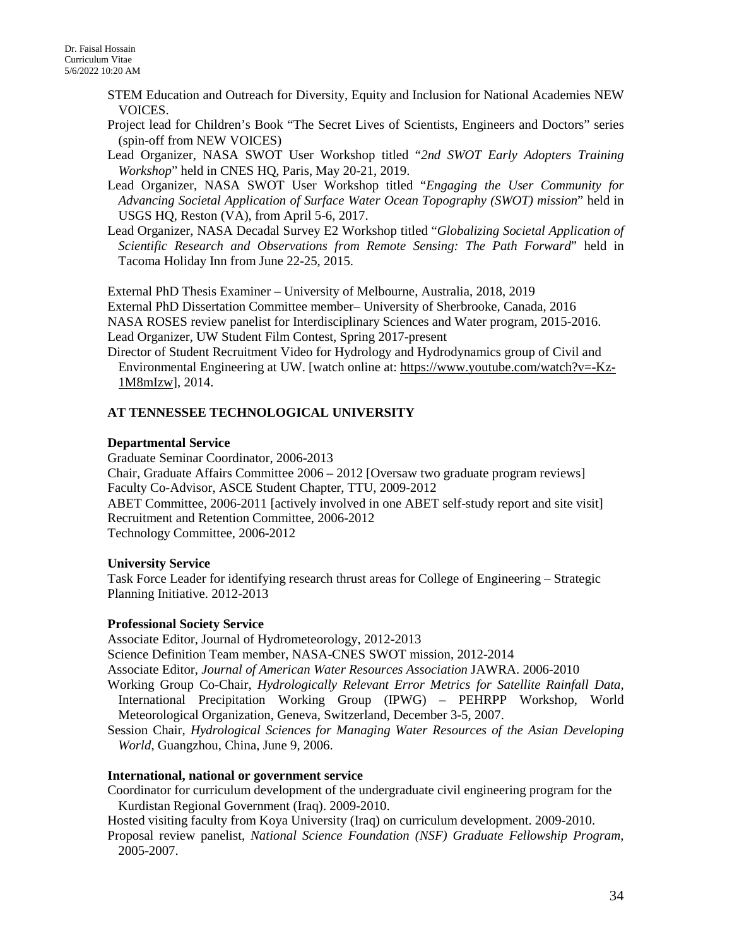- STEM Education and Outreach for Diversity, Equity and Inclusion for National Academies NEW VOICES.
- Project lead for Children's Book "The Secret Lives of Scientists, Engineers and Doctors" series (spin-off from NEW VOICES)
- Lead Organizer, NASA SWOT User Workshop titled "*2nd SWOT Early Adopters Training Workshop*" held in CNES HQ, Paris, May 20-21, 2019.
- Lead Organizer, NASA SWOT User Workshop titled "*Engaging the User Community for Advancing Societal Application of Surface Water Ocean Topography (SWOT) mission*" held in USGS HQ, Reston (VA), from April 5-6, 2017.
- Lead Organizer, NASA Decadal Survey E2 Workshop titled "*Globalizing Societal Application of Scientific Research and Observations from Remote Sensing: The Path Forward*" held in Tacoma Holiday Inn from June 22-25, 2015.

External PhD Thesis Examiner – University of Melbourne, Australia, 2018, 2019 External PhD Dissertation Committee member– University of Sherbrooke, Canada, 2016 NASA ROSES review panelist for Interdisciplinary Sciences and Water program, 2015-2016. Lead Organizer, UW Student Film Contest, Spring 2017-present

Director of Student Recruitment Video for Hydrology and Hydrodynamics group of Civil and Environmental Engineering at UW. [watch online at: [https://www.youtube.com/watch?v=-Kz-](https://www.youtube.com/watch?v=-Kz-1M8mIzw)[1M8mIzw\]](https://www.youtube.com/watch?v=-Kz-1M8mIzw), 2014.

### **AT TENNESSEE TECHNOLOGICAL UNIVERSITY**

### **Departmental Service**

Graduate Seminar Coordinator, 2006-2013 Chair, Graduate Affairs Committee 2006 – 2012 [Oversaw two graduate program reviews] Faculty Co-Advisor, ASCE Student Chapter, TTU, 2009-2012 ABET Committee, 2006-2011 [actively involved in one ABET self-study report and site visit] Recruitment and Retention Committee, 2006-2012 Technology Committee, 2006-2012

### **University Service**

Task Force Leader for identifying research thrust areas for College of Engineering – Strategic Planning Initiative. 2012-2013

### **Professional Society Service**

Associate Editor, Journal of Hydrometeorology, 2012-2013

Science Definition Team member, NASA-CNES SWOT mission, 2012-2014

Associate Editor, *Journal of American Water Resources Association* JAWRA. 2006-2010

Working Group Co-Chair, *Hydrologically Relevant Error Metrics for Satellite Rainfall Data,*  International Precipitation Working Group (IPWG) – PEHRPP Workshop, World Meteorological Organization, Geneva, Switzerland, December 3-5, 2007.

Session Chair, *Hydrological Sciences for Managing Water Resources of the Asian Developing World*, Guangzhou, China, June 9, 2006.

### **International, national or government service**

Coordinator for curriculum development of the undergraduate civil engineering program for the Kurdistan Regional Government (Iraq). 2009-2010.

Hosted visiting faculty from Koya University (Iraq) on curriculum development. 2009-2010.

Proposal review panelist, *National Science Foundation (NSF) Graduate Fellowship Program,* 2005-2007.